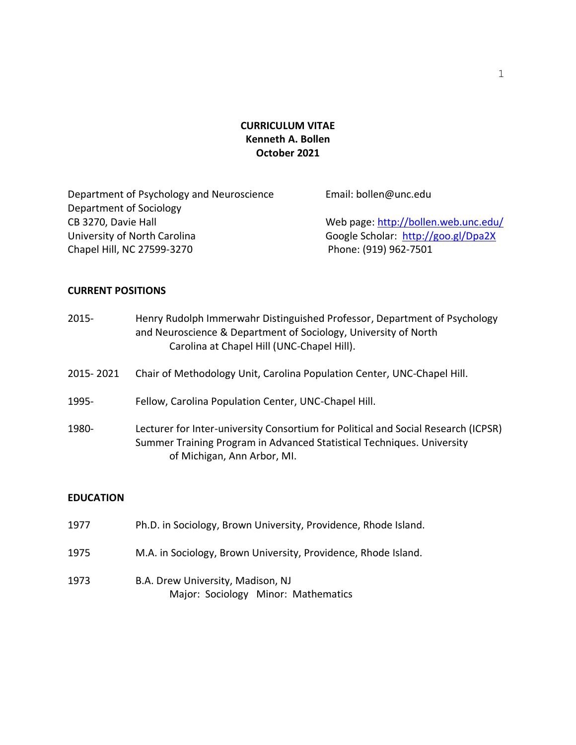# **CURRICULUM VITAE Kenneth A. Bollen October 2021**

| Department of Psychology and Neuroscience | Email: bollen@unc.edu                |
|-------------------------------------------|--------------------------------------|
| Department of Sociology                   |                                      |
| CB 3270, Davie Hall                       | Web page: http://bollen.web.unc.edu/ |
| University of North Carolina              | Google Scholar: http://goo.gl/Dpa2X  |
| Chapel Hill, NC 27599-3270                | Phone: (919) 962-7501                |

## **CURRENT POSITIONS**

| 2015-     | Henry Rudolph Immerwahr Distinguished Professor, Department of Psychology<br>and Neuroscience & Department of Sociology, University of North<br>Carolina at Chapel Hill (UNC-Chapel Hill).  |
|-----------|---------------------------------------------------------------------------------------------------------------------------------------------------------------------------------------------|
| 2015-2021 | Chair of Methodology Unit, Carolina Population Center, UNC-Chapel Hill.                                                                                                                     |
| 1995-     | Fellow, Carolina Population Center, UNC-Chapel Hill.                                                                                                                                        |
| 1980-     | Lecturer for Inter-university Consortium for Political and Social Research (ICPSR)<br>Summer Training Program in Advanced Statistical Techniques. University<br>of Michigan, Ann Arbor, MI. |

## **EDUCATION**

| 1977 | Ph.D. in Sociology, Brown University, Providence, Rhode Island.          |
|------|--------------------------------------------------------------------------|
| 1975 | M.A. in Sociology, Brown University, Providence, Rhode Island.           |
| 1973 | B.A. Drew University, Madison, NJ<br>Major: Sociology Minor: Mathematics |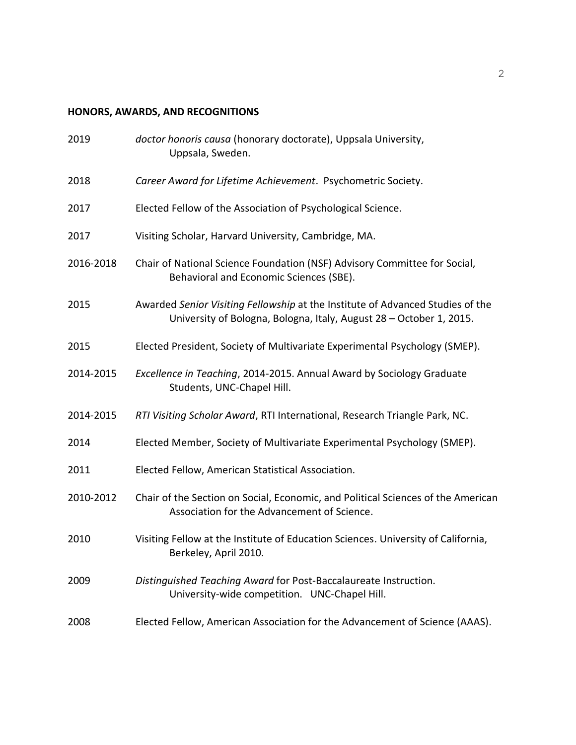# **HONORS, AWARDS, AND RECOGNITIONS**

| 2019      | doctor honoris causa (honorary doctorate), Uppsala University,<br>Uppsala, Sweden.                                                                    |
|-----------|-------------------------------------------------------------------------------------------------------------------------------------------------------|
| 2018      | Career Award for Lifetime Achievement. Psychometric Society.                                                                                          |
| 2017      | Elected Fellow of the Association of Psychological Science.                                                                                           |
| 2017      | Visiting Scholar, Harvard University, Cambridge, MA.                                                                                                  |
| 2016-2018 | Chair of National Science Foundation (NSF) Advisory Committee for Social,<br>Behavioral and Economic Sciences (SBE).                                  |
| 2015      | Awarded Senior Visiting Fellowship at the Institute of Advanced Studies of the<br>University of Bologna, Bologna, Italy, August 28 - October 1, 2015. |
| 2015      | Elected President, Society of Multivariate Experimental Psychology (SMEP).                                                                            |
| 2014-2015 | Excellence in Teaching, 2014-2015. Annual Award by Sociology Graduate<br>Students, UNC-Chapel Hill.                                                   |
| 2014-2015 | RTI Visiting Scholar Award, RTI International, Research Triangle Park, NC.                                                                            |
| 2014      | Elected Member, Society of Multivariate Experimental Psychology (SMEP).                                                                               |
| 2011      | Elected Fellow, American Statistical Association.                                                                                                     |
| 2010-2012 | Chair of the Section on Social, Economic, and Political Sciences of the American<br>Association for the Advancement of Science.                       |
| 2010      | Visiting Fellow at the Institute of Education Sciences. University of California,<br>Berkeley, April 2010.                                            |
| 2009      | Distinguished Teaching Award for Post-Baccalaureate Instruction.<br>University-wide competition. UNC-Chapel Hill.                                     |
| 2008      | Elected Fellow, American Association for the Advancement of Science (AAAS).                                                                           |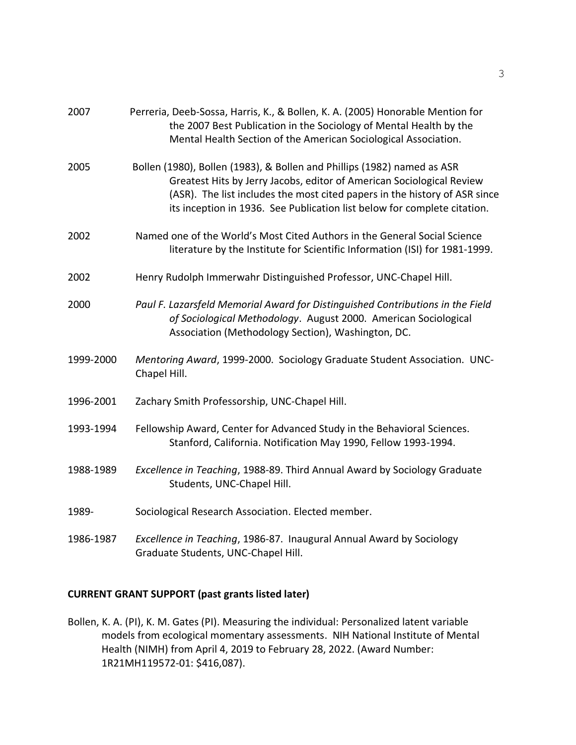| 2007      | Perreria, Deeb-Sossa, Harris, K., & Bollen, K. A. (2005) Honorable Mention for<br>the 2007 Best Publication in the Sociology of Mental Health by the<br>Mental Health Section of the American Sociological Association.                                                                                    |
|-----------|------------------------------------------------------------------------------------------------------------------------------------------------------------------------------------------------------------------------------------------------------------------------------------------------------------|
| 2005      | Bollen (1980), Bollen (1983), & Bollen and Phillips (1982) named as ASR<br>Greatest Hits by Jerry Jacobs, editor of American Sociological Review<br>(ASR). The list includes the most cited papers in the history of ASR since<br>its inception in 1936. See Publication list below for complete citation. |
| 2002      | Named one of the World's Most Cited Authors in the General Social Science<br>literature by the Institute for Scientific Information (ISI) for 1981-1999.                                                                                                                                                   |
| 2002      | Henry Rudolph Immerwahr Distinguished Professor, UNC-Chapel Hill.                                                                                                                                                                                                                                          |
| 2000      | Paul F. Lazarsfeld Memorial Award for Distinguished Contributions in the Field<br>of Sociological Methodology. August 2000. American Sociological<br>Association (Methodology Section), Washington, DC.                                                                                                    |
| 1999-2000 | Mentoring Award, 1999-2000. Sociology Graduate Student Association. UNC-<br>Chapel Hill.                                                                                                                                                                                                                   |
| 1996-2001 | Zachary Smith Professorship, UNC-Chapel Hill.                                                                                                                                                                                                                                                              |
| 1993-1994 | Fellowship Award, Center for Advanced Study in the Behavioral Sciences.<br>Stanford, California. Notification May 1990, Fellow 1993-1994.                                                                                                                                                                  |
| 1988-1989 | Excellence in Teaching, 1988-89. Third Annual Award by Sociology Graduate<br>Students, UNC-Chapel Hill.                                                                                                                                                                                                    |
| 1989-     | Sociological Research Association. Elected member.                                                                                                                                                                                                                                                         |
| 1986-1987 | Excellence in Teaching, 1986-87. Inaugural Annual Award by Sociology<br>Graduate Students, UNC-Chapel Hill.                                                                                                                                                                                                |

## **CURRENT GRANT SUPPORT (past grants listed later)**

Bollen, K. A. (PI), K. M. Gates (PI). Measuring the individual: Personalized latent variable models from ecological momentary assessments. NIH National Institute of Mental Health (NIMH) from April 4, 2019 to February 28, 2022. (Award Number: 1R21MH119572-01: \$416,087).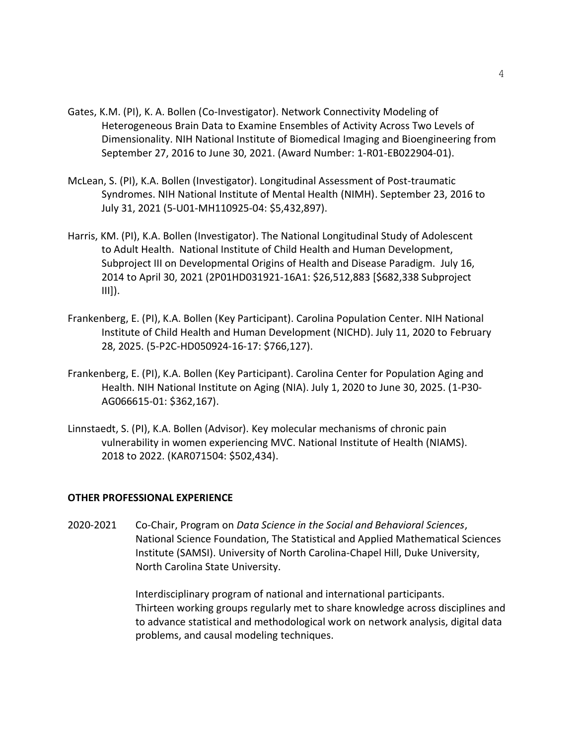- Gates, K.M. (PI), K. A. Bollen (Co-Investigator). Network Connectivity Modeling of Heterogeneous Brain Data to Examine Ensembles of Activity Across Two Levels of Dimensionality. NIH National Institute of Biomedical Imaging and Bioengineering from September 27, 2016 to June 30, 2021. (Award Number: 1-R01-EB022904-01).
- McLean, S. (PI), K.A. Bollen (Investigator). Longitudinal Assessment of Post-traumatic Syndromes. NIH National Institute of Mental Health (NIMH). September 23, 2016 to July 31, 2021 (5-U01-MH110925-04: \$5,432,897).
- Harris, KM. (PI), K.A. Bollen (Investigator). The National Longitudinal Study of Adolescent to Adult Health. National Institute of Child Health and Human Development, Subproject III on Developmental Origins of Health and Disease Paradigm. July 16, 2014 to April 30, 2021 (2P01HD031921-16A1: \$26,512,883 [\$682,338 Subproject III]).
- Frankenberg, E. (PI), K.A. Bollen (Key Participant). Carolina Population Center. NIH National Institute of Child Health and Human Development (NICHD). July 11, 2020 to February 28, 2025. (5-P2C-HD050924-16-17: \$766,127).
- Frankenberg, E. (PI), K.A. Bollen (Key Participant). Carolina Center for Population Aging and Health. NIH National Institute on Aging (NIA). July 1, 2020 to June 30, 2025. (1-P30- AG066615-01: \$362,167).
- Linnstaedt, S. (PI), K.A. Bollen (Advisor). Key molecular mechanisms of chronic pain vulnerability in women experiencing MVC. National Institute of Health (NIAMS). 2018 to 2022. (KAR071504: \$502,434).

## **OTHER PROFESSIONAL EXPERIENCE**

2020-2021 Co-Chair, Program on *Data Science in the Social and Behavioral Sciences*, National Science Foundation, The Statistical and Applied Mathematical Sciences Institute (SAMSI). University of North Carolina-Chapel Hill, Duke University, North Carolina State University.

> Interdisciplinary program of national and international participants. Thirteen working groups regularly met to share knowledge across disciplines and to advance statistical and methodological work on network analysis, digital data problems, and causal modeling techniques.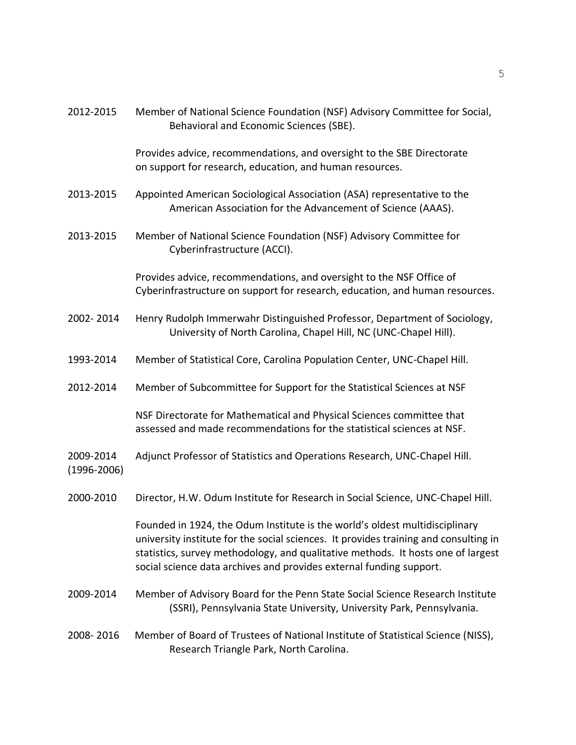| 2012-2015                    | Member of National Science Foundation (NSF) Advisory Committee for Social,<br>Behavioral and Economic Sciences (SBE).                                                                                                                                                                                                          |
|------------------------------|--------------------------------------------------------------------------------------------------------------------------------------------------------------------------------------------------------------------------------------------------------------------------------------------------------------------------------|
|                              | Provides advice, recommendations, and oversight to the SBE Directorate<br>on support for research, education, and human resources.                                                                                                                                                                                             |
| 2013-2015                    | Appointed American Sociological Association (ASA) representative to the<br>American Association for the Advancement of Science (AAAS).                                                                                                                                                                                         |
| 2013-2015                    | Member of National Science Foundation (NSF) Advisory Committee for<br>Cyberinfrastructure (ACCI).                                                                                                                                                                                                                              |
|                              | Provides advice, recommendations, and oversight to the NSF Office of<br>Cyberinfrastructure on support for research, education, and human resources.                                                                                                                                                                           |
| 2002-2014                    | Henry Rudolph Immerwahr Distinguished Professor, Department of Sociology,<br>University of North Carolina, Chapel Hill, NC (UNC-Chapel Hill).                                                                                                                                                                                  |
| 1993-2014                    | Member of Statistical Core, Carolina Population Center, UNC-Chapel Hill.                                                                                                                                                                                                                                                       |
| 2012-2014                    | Member of Subcommittee for Support for the Statistical Sciences at NSF                                                                                                                                                                                                                                                         |
|                              | NSF Directorate for Mathematical and Physical Sciences committee that<br>assessed and made recommendations for the statistical sciences at NSF.                                                                                                                                                                                |
| 2009-2014<br>$(1996 - 2006)$ | Adjunct Professor of Statistics and Operations Research, UNC-Chapel Hill.                                                                                                                                                                                                                                                      |
| 2000-2010                    | Director, H.W. Odum Institute for Research in Social Science, UNC-Chapel Hill.                                                                                                                                                                                                                                                 |
|                              | Founded in 1924, the Odum Institute is the world's oldest multidisciplinary<br>university institute for the social sciences. It provides training and consulting in<br>statistics, survey methodology, and qualitative methods. It hosts one of largest<br>social science data archives and provides external funding support. |
| 2009-2014                    | Member of Advisory Board for the Penn State Social Science Research Institute<br>(SSRI), Pennsylvania State University, University Park, Pennsylvania.                                                                                                                                                                         |
| 2008-2016                    | Member of Board of Trustees of National Institute of Statistical Science (NISS),<br>Research Triangle Park, North Carolina.                                                                                                                                                                                                    |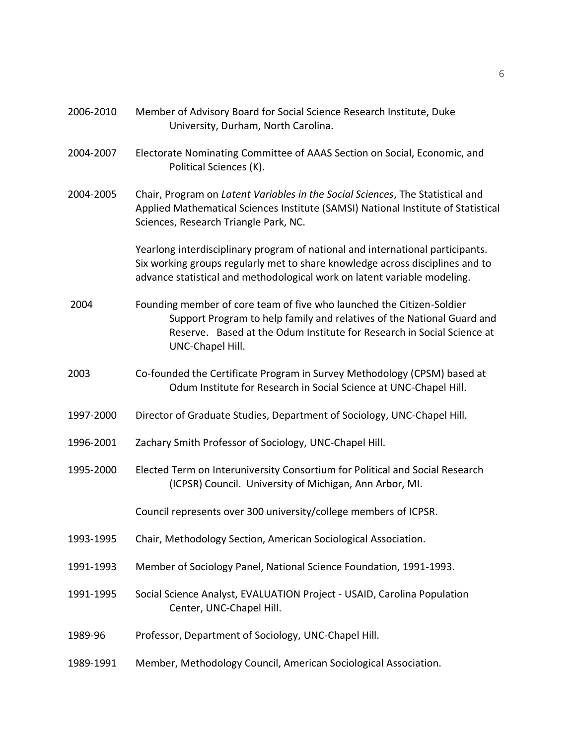| 2006-2010 | Member of Advisory Board for Social Science Research Institute, Duke<br>University, Durham, North Carolina.                                                                                                                                   |
|-----------|-----------------------------------------------------------------------------------------------------------------------------------------------------------------------------------------------------------------------------------------------|
| 2004-2007 | Electorate Nominating Committee of AAAS Section on Social, Economic, and<br>Political Sciences (K).                                                                                                                                           |
| 2004-2005 | Chair, Program on Latent Variables in the Social Sciences, The Statistical and<br>Applied Mathematical Sciences Institute (SAMSI) National Institute of Statistical<br>Sciences, Research Triangle Park, NC.                                  |
|           | Yearlong interdisciplinary program of national and international participants.<br>Six working groups regularly met to share knowledge across disciplines and to<br>advance statistical and methodological work on latent variable modeling.   |
| 2004      | Founding member of core team of five who launched the Citizen-Soldier<br>Support Program to help family and relatives of the National Guard and<br>Reserve. Based at the Odum Institute for Research in Social Science at<br>UNC-Chapel Hill. |
| 2003      | Co-founded the Certificate Program in Survey Methodology (CPSM) based at<br>Odum Institute for Research in Social Science at UNC-Chapel Hill.                                                                                                 |
| 1997-2000 | Director of Graduate Studies, Department of Sociology, UNC-Chapel Hill.                                                                                                                                                                       |
| 1996-2001 | Zachary Smith Professor of Sociology, UNC-Chapel Hill.                                                                                                                                                                                        |
| 1995-2000 | Elected Term on Interuniversity Consortium for Political and Social Research<br>(ICPSR) Council. University of Michigan, Ann Arbor, MI.                                                                                                       |
|           | Council represents over 300 university/college members of ICPSR.                                                                                                                                                                              |
| 1993-1995 | Chair, Methodology Section, American Sociological Association.                                                                                                                                                                                |
| 1991-1993 | Member of Sociology Panel, National Science Foundation, 1991-1993.                                                                                                                                                                            |
| 1991-1995 | Social Science Analyst, EVALUATION Project - USAID, Carolina Population<br>Center, UNC-Chapel Hill.                                                                                                                                           |
| 1989-96   | Professor, Department of Sociology, UNC-Chapel Hill.                                                                                                                                                                                          |
| 1989-1991 | Member, Methodology Council, American Sociological Association.                                                                                                                                                                               |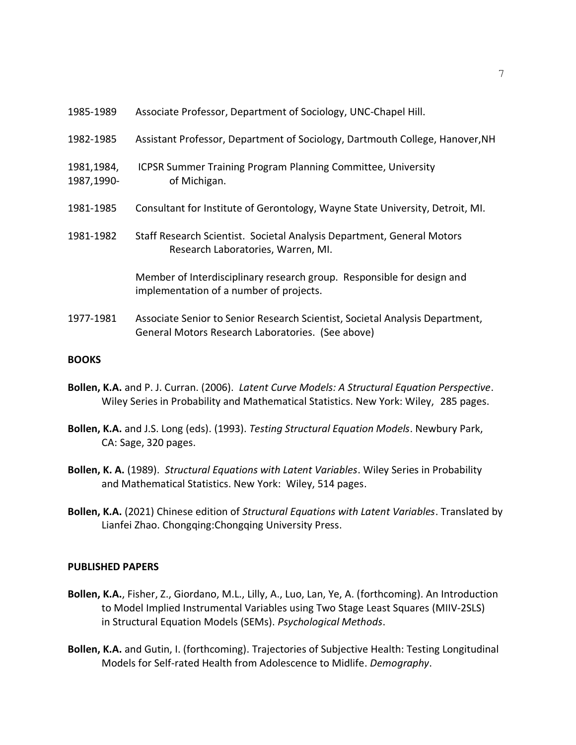| 1985-1989 | Associate Professor, Department of Sociology, UNC-Chapel Hill. |  |
|-----------|----------------------------------------------------------------|--|
|-----------|----------------------------------------------------------------|--|

- 1982-1985 Assistant Professor, Department of Sociology, Dartmouth College, Hanover,NH
- 1981,1984, ICPSR Summer Training Program Planning Committee, University 1987,1990- of Michigan.
- 1981-1985 Consultant for Institute of Gerontology, Wayne State University, Detroit, MI.
- 1981-1982 Staff Research Scientist. Societal Analysis Department, General Motors Research Laboratories, Warren, MI.

Member of Interdisciplinary research group. Responsible for design and implementation of a number of projects.

1977-1981 Associate Senior to Senior Research Scientist, Societal Analysis Department, General Motors Research Laboratories. (See above)

### **BOOKS**

- **Bollen, K.A.** and P. J. Curran. (2006). *Latent Curve Models: A Structural Equation Perspective*. Wiley Series in Probability and Mathematical Statistics. New York: Wiley, 285 pages.
- **Bollen, K.A.** and J.S. Long (eds). (1993). *Testing Structural Equation Models*. Newbury Park, CA: Sage, 320 pages.
- **Bollen, K. A.** (1989). *Structural Equations with Latent Variables*. Wiley Series in Probability and Mathematical Statistics. New York: Wiley, 514 pages.
- **Bollen, K.A.** (2021) Chinese edition of *Structural Equations with Latent Variables*. Translated by Lianfei Zhao. Chongqing:Chongqing University Press.

#### **PUBLISHED PAPERS**

- **Bollen, K.A.**, Fisher, Z., Giordano, M.L., Lilly, A., Luo, Lan, Ye, A. (forthcoming). An Introduction to Model Implied Instrumental Variables using Two Stage Least Squares (MIIV-2SLS) in Structural Equation Models (SEMs). *Psychological Methods*.
- **Bollen, K.A.** and Gutin, I. (forthcoming). Trajectories of Subjective Health: Testing Longitudinal Models for Self-rated Health from Adolescence to Midlife. *Demography*.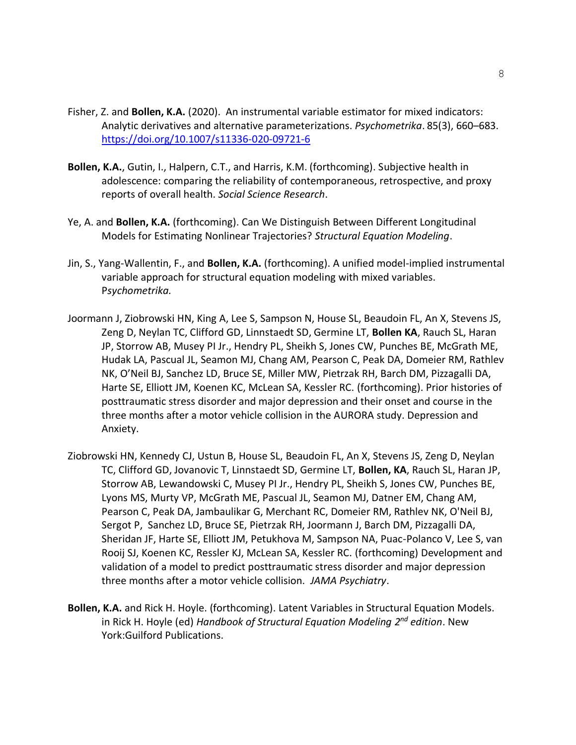- Fisher, Z. and **Bollen, K.A.** (2020). An instrumental variable estimator for mixed indicators: Analytic derivatives and alternative parameterizations. *Psychometrika*. 85(3), 660–683. <https://doi.org/10.1007/s11336-020-09721-6>
- **Bollen, K.A.**, Gutin, I., Halpern, C.T., and Harris, K.M. (forthcoming). Subjective health in adolescence: comparing the reliability of contemporaneous, retrospective, and proxy reports of overall health. *Social Science Research*.
- Ye, A. and **Bollen, K.A.** (forthcoming). Can We Distinguish Between Different Longitudinal Models for Estimating Nonlinear Trajectories? *Structural Equation Modeling*.
- Jin, S., Yang-Wallentin, F., and **Bollen, K.A.** (forthcoming). A unified model-implied instrumental variable approach for structural equation modeling with mixed variables. P*sychometrika.*
- Joormann J, Ziobrowski HN, King A, Lee S, Sampson N, House SL, Beaudoin FL, An X, Stevens JS, Zeng D, Neylan TC, Clifford GD, Linnstaedt SD, Germine LT, **Bollen KA**, Rauch SL, Haran JP, Storrow AB, Musey PI Jr., Hendry PL, Sheikh S, Jones CW, Punches BE, McGrath ME, Hudak LA, Pascual JL, Seamon MJ, Chang AM, Pearson C, Peak DA, Domeier RM, Rathlev NK, O'Neil BJ, Sanchez LD, Bruce SE, Miller MW, Pietrzak RH, Barch DM, Pizzagalli DA, Harte SE, Elliott JM, Koenen KC, McLean SA, Kessler RC. (forthcoming). Prior histories of posttraumatic stress disorder and major depression and their onset and course in the three months after a motor vehicle collision in the AURORA study. Depression and Anxiety.
- Ziobrowski HN, Kennedy CJ, Ustun B, House SL, Beaudoin FL, An X, Stevens JS, Zeng D, Neylan TC, Clifford GD, Jovanovic T, Linnstaedt SD, Germine LT, **Bollen, KA**, Rauch SL, Haran JP, Storrow AB, Lewandowski C, Musey PI Jr., Hendry PL, Sheikh S, Jones CW, Punches BE, Lyons MS, Murty VP, McGrath ME, Pascual JL, Seamon MJ, Datner EM, Chang AM, Pearson C, Peak DA, Jambaulikar G, Merchant RC, Domeier RM, Rathlev NK, O'Neil BJ, Sergot P, Sanchez LD, Bruce SE, Pietrzak RH, Joormann J, Barch DM, Pizzagalli DA, Sheridan JF, Harte SE, Elliott JM, Petukhova M, Sampson NA, Puac-Polanco V, Lee S, van Rooij SJ, Koenen KC, Ressler KJ, McLean SA, Kessler RC. (forthcoming) Development and validation of a model to predict posttraumatic stress disorder and major depression three months after a motor vehicle collision. *JAMA Psychiatry*.
- **Bollen, K.A.** and Rick H. Hoyle. (forthcoming). Latent Variables in Structural Equation Models. in Rick H. Hoyle (ed) *Handbook of Structural Equation Modeling 2 nd edition*. New York:Guilford Publications.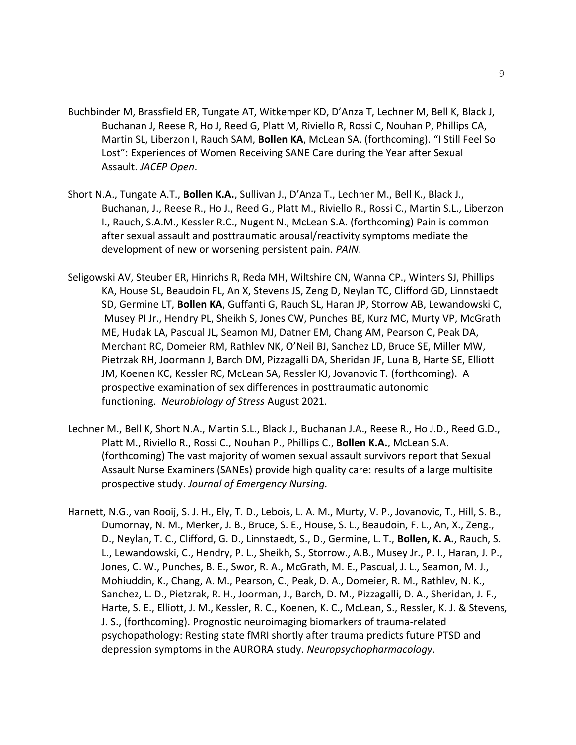- Buchbinder M, Brassfield ER, Tungate AT, Witkemper KD, D'Anza T, Lechner M, Bell K, Black J, Buchanan J, Reese R, Ho J, Reed G, Platt M, Riviello R, Rossi C, Nouhan P, Phillips CA, Martin SL, Liberzon I, Rauch SAM, **Bollen KA**, McLean SA. (forthcoming). "I Still Feel So Lost": Experiences of Women Receiving SANE Care during the Year after Sexual Assault. *JACEP Open*.
- Short N.A., Tungate A.T., **Bollen K.A.**, Sullivan J., D'Anza T., Lechner M., Bell K., Black J., Buchanan, J., Reese R., Ho J., Reed G., Platt M., Riviello R., Rossi C., Martin S.L., Liberzon I., Rauch, S.A.M., Kessler R.C., Nugent N., McLean S.A. (forthcoming) Pain is common after sexual assault and posttraumatic arousal/reactivity symptoms mediate the development of new or worsening persistent pain. *PAIN*.
- Seligowski AV, Steuber ER, Hinrichs R, Reda MH, Wiltshire CN, Wanna CP., Winters SJ, Phillips KA, House SL, Beaudoin FL, An X, Stevens JS, Zeng D, Neylan TC, Clifford GD, Linnstaedt SD, Germine LT, **Bollen KA**, Guffanti G, Rauch SL, Haran JP, Storrow AB, Lewandowski C, Musey PI Jr., Hendry PL, Sheikh S, Jones CW, Punches BE, Kurz MC, Murty VP, McGrath ME, Hudak LA, Pascual JL, Seamon MJ, Datner EM, Chang AM, Pearson C, Peak DA, Merchant RC, Domeier RM, Rathlev NK, O'Neil BJ, Sanchez LD, Bruce SE, Miller MW, Pietrzak RH, Joormann J, Barch DM, Pizzagalli DA, Sheridan JF, Luna B, Harte SE, Elliott JM, Koenen KC, Kessler RC, McLean SA, Ressler KJ, Jovanovic T. (forthcoming). A prospective examination of sex differences in posttraumatic autonomic functioning. *Neurobiology of Stress* August 2021.
- Lechner M., Bell K, Short N.A., Martin S.L., Black J., Buchanan J.A., Reese R., Ho J.D., Reed G.D., Platt M., Riviello R., Rossi C., Nouhan P., Phillips C., **Bollen K.A.**, McLean S.A. (forthcoming) The vast majority of women sexual assault survivors report that Sexual Assault Nurse Examiners (SANEs) provide high quality care: results of a large multisite prospective study. *Journal of Emergency Nursing.*
- Harnett, N.G., van Rooij, S. J. H., Ely, T. D., Lebois, L. A. M., Murty, V. P., Jovanovic, T., Hill, S. B., Dumornay, N. M., Merker, J. B., Bruce, S. E., House, S. L., Beaudoin, F. L., An, X., Zeng., D., Neylan, T. C., Clifford, G. D., Linnstaedt, S., D., Germine, L. T., **Bollen, K. A.**, Rauch, S. L., Lewandowski, C., Hendry, P. L., Sheikh, S., Storrow., A.B., Musey Jr., P. I., Haran, J. P., Jones, C. W., Punches, B. E., Swor, R. A., McGrath, M. E., Pascual, J. L., Seamon, M. J., Mohiuddin, K., Chang, A. M., Pearson, C., Peak, D. A., Domeier, R. M., Rathlev, N. K., Sanchez, L. D., Pietzrak, R. H., Joorman, J., Barch, D. M., Pizzagalli, D. A., Sheridan, J. F., Harte, S. E., Elliott, J. M., Kessler, R. C., Koenen, K. C., McLean, S., Ressler, K. J. & Stevens, J. S., (forthcoming). Prognostic neuroimaging biomarkers of trauma-related psychopathology: Resting state fMRI shortly after trauma predicts future PTSD and depression symptoms in the AURORA study. *Neuropsychopharmacology*.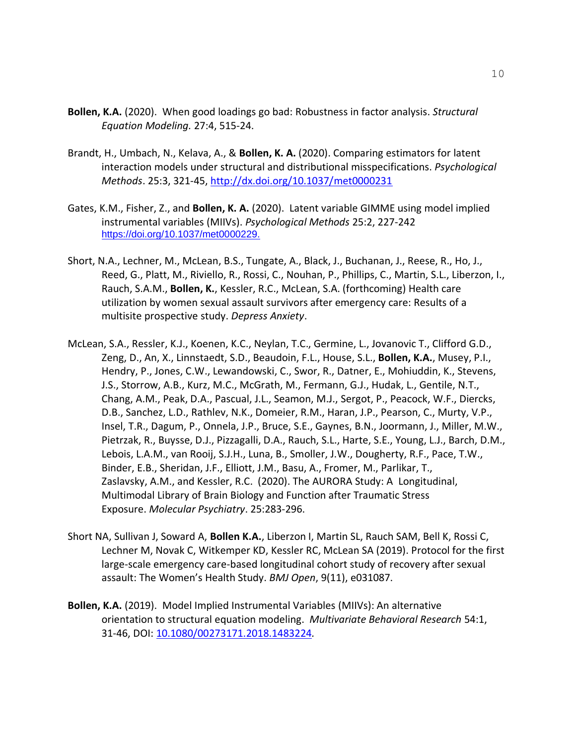- **Bollen, K.A.** (2020). When good loadings go bad: Robustness in factor analysis. *Structural Equation Modeling.* 27:4, 515-24.
- Brandt, H., Umbach, N., Kelava, A., & **Bollen, K. A.** (2020). Comparing estimators for latent interaction models under structural and distributional misspecifications. *Psychological Methods*. 25:3, 321-45,<http://dx.doi.org/10.1037/met0000231>
- Gates, K.M., Fisher, Z., and **Bollen, K. A.** (2020). Latent variable GIMME using model implied instrumental variables (MIIVs). *Psychological Methods* 25:2, 227-242 [https://doi.org/10.1037/met0000229.](https://doi.org/10.1037/met0000229)
- Short, N.A., Lechner, M., McLean, B.S., Tungate, A., Black, J., Buchanan, J., Reese, R., Ho, J., Reed, G., Platt, M., Riviello, R., Rossi, C., Nouhan, P., Phillips, C., Martin, S.L., Liberzon, I., Rauch, S.A.M., **Bollen, K.**, Kessler, R.C., McLean, S.A. (forthcoming) Health care utilization by women sexual assault survivors after emergency care: Results of a multisite prospective study. *Depress Anxiety*.
- McLean, S.A., Ressler, K.J., Koenen, K.C., Neylan, T.C., Germine, L., Jovanovic T., Clifford G.D., Zeng, D., An, X., Linnstaedt, S.D., Beaudoin, F.L., House, S.L., **Bollen, K.A.**, Musey, P.I., Hendry, P., Jones, C.W., Lewandowski, C., Swor, R., Datner, E., Mohiuddin, K., Stevens, J.S., Storrow, A.B., Kurz, M.C., McGrath, M., Fermann, G.J., Hudak, L., Gentile, N.T., Chang, A.M., Peak, D.A., Pascual, J.L., Seamon, M.J., Sergot, P., Peacock, W.F., Diercks, D.B., Sanchez, L.D., Rathlev, N.K., Domeier, R.M., Haran, J.P., Pearson, C., Murty, V.P., Insel, T.R., Dagum, P., Onnela, J.P., Bruce, S.E., Gaynes, B.N., Joormann, J., Miller, M.W., Pietrzak, R., Buysse, D.J., Pizzagalli, D.A., Rauch, S.L., Harte, S.E., Young, L.J., Barch, D.M., Lebois, L.A.M., van Rooij, S.J.H., Luna, B., Smoller, J.W., Dougherty, R.F., Pace, T.W., Binder, E.B., Sheridan, J.F., Elliott, J.M., Basu, A., Fromer, M., Parlikar, T., Zaslavsky, A.M., and Kessler, R.C. (2020). The AURORA Study: A Longitudinal, Multimodal Library of Brain Biology and Function after Traumatic Stress Exposure. *Molecular Psychiatry*. 25:283-296.
- Short NA, Sullivan J, Soward A, **Bollen K.A.**, Liberzon I, Martin SL, Rauch SAM, Bell K, Rossi C, Lechner M, Novak C, Witkemper KD, Kessler RC, McLean SA (2019). Protocol for the first large-scale emergency care-based longitudinal cohort study of recovery after sexual assault: The Women's Health Study. *BMJ Open*, 9(11), e031087.
- **Bollen, K.A.** (2019). Model Implied Instrumental Variables (MIIVs): An alternative orientation to structural equation modeling. *Multivariate Behavioral Research* 54:1, 31-46, DOI: [10.1080/00273171.2018.1483224](https://doi-org.libproxy.lib.unc.edu/10.1080/00273171.2018.1483224)*.*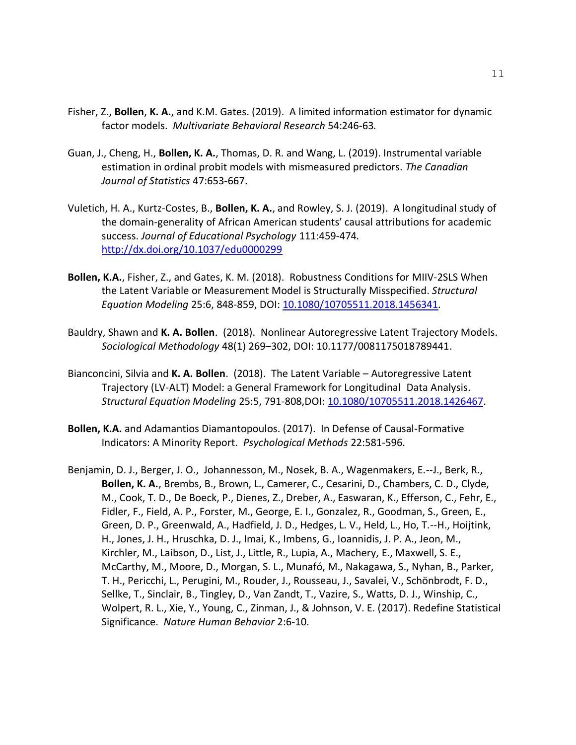- Fisher, Z., **Bollen**, **K. A.**, and K.M. Gates. (2019). A limited information estimator for dynamic factor models. *Multivariate Behavioral Research* 54:246-63*.*
- Guan, J., Cheng, H., **Bollen, K. A.**, Thomas, D. R. and Wang, L. (2019). Instrumental variable estimation in ordinal probit models with mismeasured predictors. *The Canadian Journal of Statistics* 47:653-667.
- Vuletich, H. A., Kurtz-Costes, B., **Bollen, K. A.**, and Rowley, S. J. (2019). A longitudinal study of the domain-generality of African American students' causal attributions for academic success. *Journal of Educational Psychology* 111:459-474*.* [http://dx.doi.org/10.1037/edu0000299](https://psycnet.apa.org/doi/10.1037/edu0000299)
- **Bollen, K.A.**, Fisher, Z., and Gates, K. M. (2018). Robustness Conditions for MIIV-2SLS When the Latent Variable or Measurement Model is Structurally Misspecified. *Structural Equation Modeling* 25:6, 848-859, DOI: [10.1080/10705511.2018.1456341](https://doi.org/10.1080/10705511.2018.1456341)*.*
- Bauldry, Shawn and **K. A. Bollen**. (2018). Nonlinear Autoregressive Latent Trajectory Models. *Sociological Methodology* 48(1) 269–302, DOI: 10.1177/0081175018789441.
- Bianconcini, Silvia and **K. A. Bollen**. (2018). The Latent Variable Autoregressive Latent Trajectory (LV-ALT) Model: a General Framework for Longitudinal Data Analysis. *Structural Equation Modeling* 25:5, 791-808,DOI: [10.1080/10705511.2018.1426467.](https://doi.org/10.1080/10705511.2018.1426467)
- **Bollen, K.A.** and Adamantios Diamantopoulos. (2017). In Defense of Causal-Formative Indicators: A Minority Report. *Psychological Methods* 22:581-596.
- Benjamin, D. J., Berger, J. O., Johannesson, M., Nosek, B. A., Wagenmakers, E.--J., Berk, R., **Bollen, K. A.**, Brembs, B., Brown, L., Camerer, C., Cesarini, D., Chambers, C. D., Clyde, M., Cook, T. D., De Boeck, P., Dienes, Z., Dreber, A., Easwaran, K., Efferson, C., Fehr, E., Fidler, F., Field, A. P., Forster, M., George, E. I., Gonzalez, R., Goodman, S., Green, E., Green, D. P., Greenwald, A., Hadfield, J. D., Hedges, L. V., Held, L., Ho, T.--H., Hoijtink, H., Jones, J. H., Hruschka, D. J., Imai, K., Imbens, G., Ioannidis, J. P. A., Jeon, M., Kirchler, M., Laibson, D., List, J., Little, R., Lupia, A., Machery, E., Maxwell, S. E., McCarthy, M., Moore, D., Morgan, S. L., Munafó, M., Nakagawa, S., Nyhan, B., Parker, T. H., Pericchi, L., Perugini, M., Rouder, J., Rousseau, J., Savalei, V., Schönbrodt, F. D., Sellke, T., Sinclair, B., Tingley, D., Van Zandt, T., Vazire, S., Watts, D. J., Winship, C., Wolpert, R. L., Xie, Y., Young, C., Zinman, J., & Johnson, V. E. (2017). Redefine Statistical Significance. *Nature Human Behavior* 2:6-10.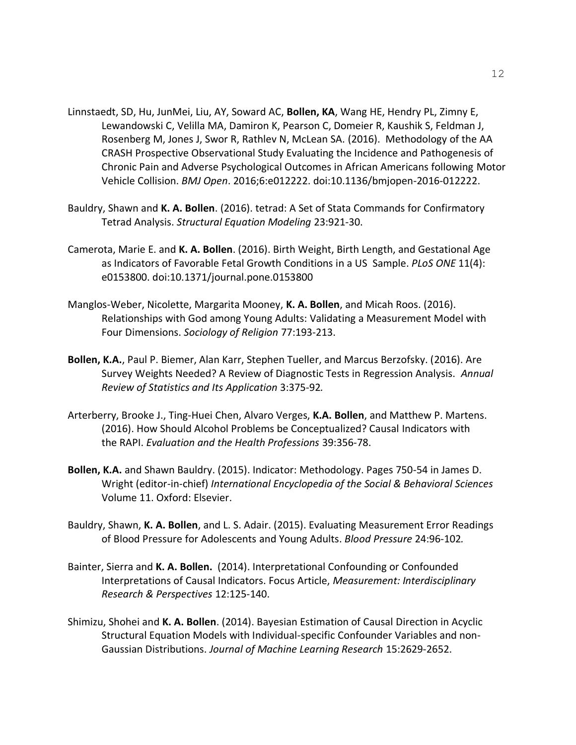- Linnstaedt, SD, Hu, JunMei, Liu, AY, Soward AC, **Bollen, KA**, Wang HE, Hendry PL, Zimny E, Lewandowski C, Velilla MA, Damiron K, Pearson C, Domeier R, Kaushik S, Feldman J, Rosenberg M, Jones J, Swor R, Rathlev N, McLean SA. (2016). Methodology of the AA CRASH Prospective Observational Study Evaluating the Incidence and Pathogenesis of Chronic Pain and Adverse Psychological Outcomes in African Americans following Motor Vehicle Collision. *BMJ Open*. 2016;6:e012222. doi:10.1136/bmjopen-2016-012222.
- Bauldry, Shawn and **K. A. Bollen**. (2016). tetrad: A Set of Stata Commands for Confirmatory Tetrad Analysis. *Structural Equation Modeling* 23:921-30.
- Camerota, Marie E. and **K. A. Bollen**. (2016). Birth Weight, Birth Length, and Gestational Age as Indicators of Favorable Fetal Growth Conditions in a US Sample. *PLoS ONE* 11(4): e0153800. doi:10.1371/journal.pone.0153800
- Manglos-Weber, Nicolette, Margarita Mooney, **K. A. Bollen**, and Micah Roos. (2016). Relationships with God among Young Adults: Validating a Measurement Model with Four Dimensions. *Sociology of Religion* 77:193-213.
- **Bollen, K.A.**, Paul P. Biemer, Alan Karr, Stephen Tueller, and Marcus Berzofsky. (2016). Are Survey Weights Needed? A Review of Diagnostic Tests in Regression Analysis. *Annual Review of Statistics and Its Application* 3:375-92*.*
- Arterberry, Brooke J., Ting-Huei Chen, Alvaro Verges, **K.A. Bollen**, and Matthew P. Martens. (2016). How Should Alcohol Problems be Conceptualized? Causal Indicators with the RAPI. *Evaluation and the Health Professions* 39:356-78.
- **Bollen, K.A.** and Shawn Bauldry. (2015). Indicator: Methodology. Pages 750-54 in James D. Wright (editor-in-chief) *International Encyclopedia of the Social & Behavioral Sciences* Volume 11. Oxford: Elsevier.
- Bauldry, Shawn, **K. A. Bollen**, and L. S. Adair. (2015). Evaluating Measurement Error Readings of Blood Pressure for Adolescents and Young Adults. *Blood Pressure* 24:96-102*.*
- Bainter, Sierra and **K. A. Bollen.** (2014). Interpretational Confounding or Confounded Interpretations of Causal Indicators. Focus Article, *Measurement: Interdisciplinary Research & Perspectives* 12:125-140.
- Shimizu, Shohei and **K. A. Bollen**. (2014). Bayesian Estimation of Causal Direction in Acyclic Structural Equation Models with Individual-specific Confounder Variables and non-Gaussian Distributions. *Journal of Machine Learning Research* 15:2629-2652.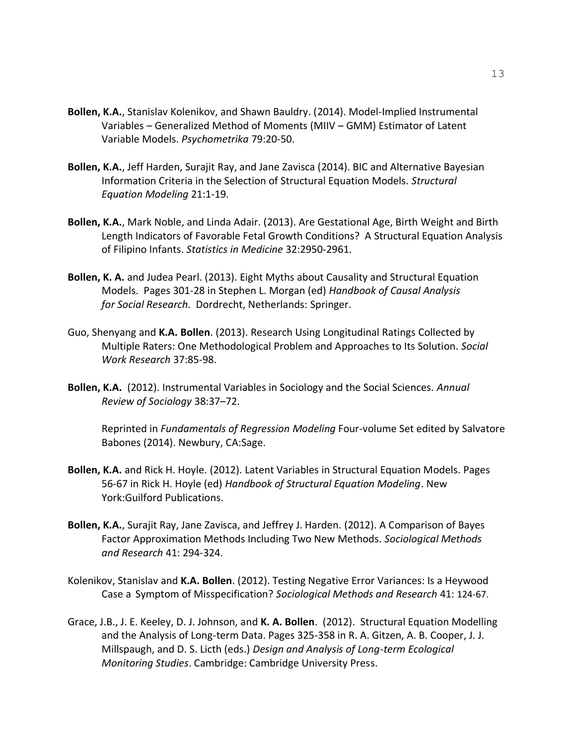- **Bollen, K.A.**, Stanislav Kolenikov, and Shawn Bauldry. (2014). Model-Implied Instrumental Variables – Generalized Method of Moments (MIIV – GMM) Estimator of Latent Variable Models. *Psychometrika* 79:20-50.
- **Bollen, K.A.**, Jeff Harden, Surajit Ray, and Jane Zavisca (2014). BIC and Alternative Bayesian Information Criteria in the Selection of Structural Equation Models. *Structural Equation Modeling* 21:1-19.
- **Bollen, K.A.**, Mark Noble, and Linda Adair. (2013). Are Gestational Age, Birth Weight and Birth Length Indicators of Favorable Fetal Growth Conditions? A Structural Equation Analysis of Filipino Infants. *Statistics in Medicine* 32:2950-2961.
- **Bollen, K. A.** and Judea Pearl. (2013). Eight Myths about Causality and Structural Equation Models. Pages 301-28 in Stephen L. Morgan (ed) *Handbook of Causal Analysis for Social Research.* Dordrecht, Netherlands: Springer.
- Guo, Shenyang and **K.A. Bollen**. (2013). Research Using Longitudinal Ratings Collected by Multiple Raters: One Methodological Problem and Approaches to Its Solution. *Social Work Research* 37:85-98.
- **Bollen, K.A.** (2012). Instrumental Variables in Sociology and the Social Sciences. *Annual Review of Sociology* 38:37–72.

Reprinted in *Fundamentals of Regression Modeling* Four-volume Set edited by Salvatore Babones (2014). Newbury, CA:Sage.

- **Bollen, K.A.** and Rick H. Hoyle. (2012). Latent Variables in Structural Equation Models. Pages 56-67 in Rick H. Hoyle (ed) *Handbook of Structural Equation Modeling*. New York:Guilford Publications.
- **Bollen, K.A.**, Surajit Ray, Jane Zavisca, and Jeffrey J. Harden. (2012). A Comparison of Bayes Factor Approximation Methods Including Two New Methods. *Sociological Methods and Research* 41: 294-324.
- Kolenikov, Stanislav and **K.A. Bollen**. (2012). Testing Negative Error Variances: Is a Heywood Case a Symptom of Misspecification? *Sociological Methods and Research* 41: 124-67.
- Grace, J.B., J. E. Keeley, D. J. Johnson, and **K. A. Bollen**. (2012). Structural Equation Modelling and the Analysis of Long-term Data. Pages 325-358 in R. A. Gitzen, A. B. Cooper, J. J. Millspaugh, and D. S. Licth (eds.) *Design and Analysis of Long-term Ecological Monitoring Studies*. Cambridge: Cambridge University Press.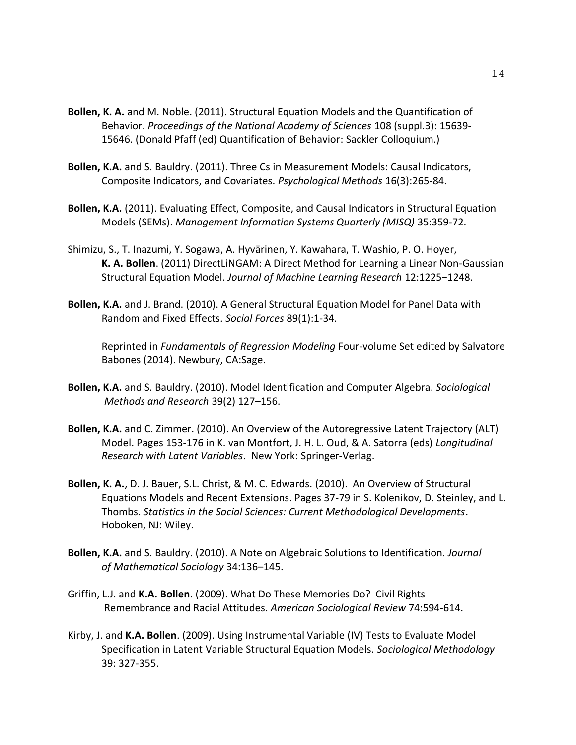- **Bollen, K. A.** and M. Noble. (2011). Structural Equation Models and the Quantification of Behavior. *Proceedings of the National Academy of Sciences* 108 (suppl.3): 15639- 15646. (Donald Pfaff (ed) Quantification of Behavior: Sackler Colloquium.)
- **Bollen, K.A.** and S. Bauldry. (2011). Three Cs in Measurement Models: Causal Indicators, Composite Indicators, and Covariates. *Psychological Methods* 16(3):265-84.
- **Bollen, K.A.** (2011). Evaluating Effect, Composite, and Causal Indicators in Structural Equation Models (SEMs). *Management Information Systems Quarterly (MISQ)* 35:359-72.
- Shimizu, S., T. Inazumi, Y. Sogawa, A. Hyvärinen, Y. Kawahara, T. Washio, P. O. Hoyer, **K. A. Bollen**. (2011) DirectLiNGAM: A Direct Method for Learning a Linear Non-Gaussian Structural Equation Model. *Journal of Machine Learning Research* 12:1225−1248.
- **Bollen, K.A.** and J. Brand. (2010). A General Structural Equation Model for Panel Data with Random and Fixed Effects. *Social Forces* 89(1):1-34.

Reprinted in *Fundamentals of Regression Modeling* Four-volume Set edited by Salvatore Babones (2014). Newbury, CA:Sage.

- **Bollen, K.A.** and S. Bauldry. (2010). Model Identification and Computer Algebra. *Sociological Methods and Research* 39(2) 127–156.
- **Bollen, K.A.** and C. Zimmer. (2010). An Overview of the Autoregressive Latent Trajectory (ALT) Model. Pages 153-176 in K. van Montfort, J. H. L. Oud, & A. Satorra (eds) *Longitudinal Research with Latent Variables*. New York: Springer-Verlag.
- **Bollen, K. A.**, D. J. Bauer, S.L. Christ, & M. C. Edwards. (2010). An Overview of Structural Equations Models and Recent Extensions. Pages 37-79 in S. Kolenikov, D. Steinley, and L. Thombs. *Statistics in the Social Sciences: Current Methodological Developments*. Hoboken, NJ: Wiley.
- **Bollen, K.A.** and S. Bauldry. (2010). A Note on Algebraic Solutions to Identification. *Journal of Mathematical Sociology* 34:136–145.
- Griffin, L.J. and **K.A. Bollen**. (2009). What Do These Memories Do? Civil Rights Remembrance and Racial Attitudes. *American Sociological Review* 74:594-614.
- Kirby, J. and **K.A. Bollen**. (2009). Using Instrumental Variable (IV) Tests to Evaluate Model Specification in Latent Variable Structural Equation Models. *Sociological Methodology* 39: 327-355.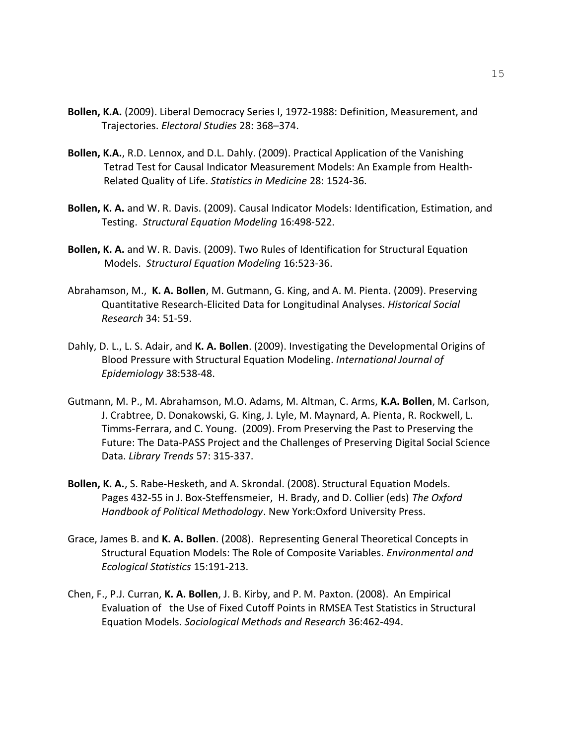- **Bollen, K.A.** (2009). Liberal Democracy Series I, 1972-1988: Definition, Measurement, and Trajectories. *Electoral Studies* 28: 368–374.
- **Bollen, K.A.**, R.D. Lennox, and D.L. Dahly. (2009). Practical Application of the Vanishing Tetrad Test for Causal Indicator Measurement Models: An Example from Health-Related Quality of Life. *Statistics in Medicine* 28: 1524-36.
- **Bollen, K. A.** and W. R. Davis. (2009). Causal Indicator Models: Identification, Estimation, and Testing. *Structural Equation Modeling* 16:498-522.
- **Bollen, K. A.** and W. R. Davis. (2009). Two Rules of Identification for Structural Equation Models. *Structural Equation Modeling* 16:523-36.
- Abrahamson, M., **K. A. Bollen**, M. Gutmann, G. King, and A. M. Pienta. (2009). Preserving Quantitative Research-Elicited Data for Longitudinal Analyses. *Historical Social Research* 34: 51-59.
- Dahly, D. L., L. S. Adair, and **K. A. Bollen**. (2009). Investigating the Developmental Origins of Blood Pressure with Structural Equation Modeling. *International Journal of Epidemiology* 38:538-48.
- Gutmann, M. P., M. Abrahamson, M.O. Adams, M. Altman, C. Arms, **K.A. Bollen**, M. Carlson, J. Crabtree, D. Donakowski, G. King, J. Lyle, M. Maynard, A. Pienta, R. Rockwell, L. Timms-Ferrara, and C. Young. (2009). From Preserving the Past to Preserving the Future: The Data-PASS Project and the Challenges of Preserving Digital Social Science Data. *Library Trends* 57: 315-337.
- **Bollen, K. A.**, S. Rabe-Hesketh, and A. Skrondal. (2008). Structural Equation Models. Pages 432-55 in J. Box-Steffensmeier, H. Brady, and D. Collier (eds) *The Oxford Handbook of Political Methodology*. New York:Oxford University Press.
- Grace, James B. and **K. A. Bollen**. (2008). Representing General Theoretical Concepts in Structural Equation Models: The Role of Composite Variables. *Environmental and Ecological Statistics* 15:191-213.
- Chen, F., P.J. Curran, **K. A. Bollen**, J. B. Kirby, and P. M. Paxton. (2008). An Empirical Evaluation of the Use of Fixed Cutoff Points in RMSEA Test Statistics in Structural Equation Models. *Sociological Methods and Research* 36:462-494.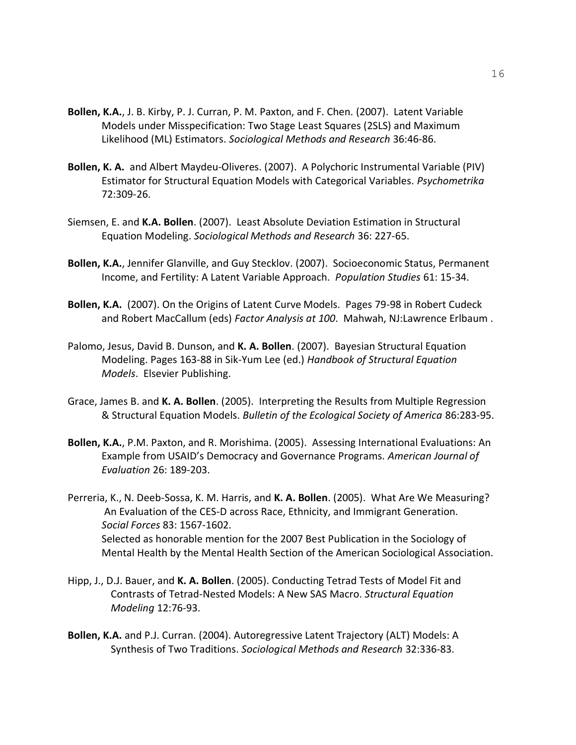- **Bollen, K.A.**, J. B. Kirby, P. J. Curran, P. M. Paxton, and F. Chen. (2007). Latent Variable Models under Misspecification: Two Stage Least Squares (2SLS) and Maximum Likelihood (ML) Estimators. *Sociological Methods and Research* 36:46-86.
- **Bollen, K. A.** and Albert Maydeu-Oliveres. (2007). A Polychoric Instrumental Variable (PIV) Estimator for Structural Equation Models with Categorical Variables. *Psychometrika* 72:309-26.
- Siemsen, E. and **K.A. Bollen**. (2007). Least Absolute Deviation Estimation in Structural Equation Modeling. *Sociological Methods and Research* 36: 227-65.
- **Bollen, K.A.**, Jennifer Glanville, and Guy Stecklov. (2007). Socioeconomic Status, Permanent Income, and Fertility: A Latent Variable Approach. *Population Studies* 61: 15-34.
- **Bollen, K.A.** (2007). On the Origins of Latent Curve Models. Pages 79-98 in Robert Cudeck and Robert MacCallum (eds) *Factor Analysis at 100*. Mahwah, NJ:Lawrence Erlbaum .
- Palomo, Jesus, David B. Dunson, and **K. A. Bollen**. (2007). Bayesian Structural Equation Modeling. Pages 163-88 in Sik-Yum Lee (ed.) *Handbook of Structural Equation Models*. Elsevier Publishing.
- Grace, James B. and **K. A. Bollen**. (2005). Interpreting the Results from Multiple Regression & Structural Equation Models. *Bulletin of the Ecological Society of America* 86:283-95.
- **Bollen, K.A.**, P.M. Paxton, and R. Morishima. (2005). Assessing International Evaluations: An Example from USAID's Democracy and Governance Programs. *American Journal of Evaluation* 26: 189-203.

Perreria, K., N. Deeb-Sossa, K. M. Harris, and **K. A. Bollen**. (2005). What Are We Measuring? An Evaluation of the CES-D across Race, Ethnicity, and Immigrant Generation. *Social Forces* 83: 1567-1602. Selected as honorable mention for the 2007 Best Publication in the Sociology of Mental Health by the Mental Health Section of the American Sociological Association.

- Hipp, J., D.J. Bauer, and **K. A. Bollen**. (2005). Conducting Tetrad Tests of Model Fit and Contrasts of Tetrad-Nested Models: A New SAS Macro. *Structural Equation Modeling* 12:76-93.
- **Bollen, K.A.** and P.J. Curran. (2004). Autoregressive Latent Trajectory (ALT) Models: A Synthesis of Two Traditions. *Sociological Methods and Research* 32:336-83.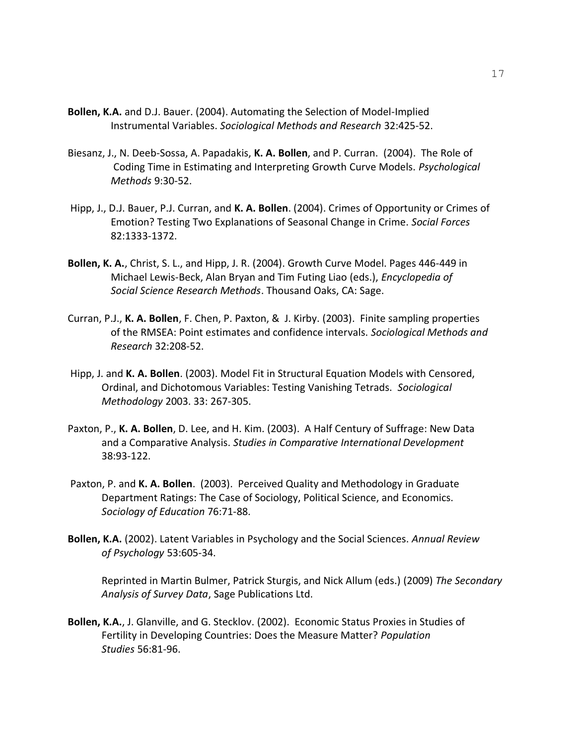- **Bollen, K.A.** and D.J. Bauer. (2004). Automating the Selection of Model-Implied Instrumental Variables. *Sociological Methods and Research* 32:425-52.
- Biesanz, J., N. Deeb-Sossa, A. Papadakis, **K. A. Bollen**, and P. Curran. (2004). The Role of Coding Time in Estimating and Interpreting Growth Curve Models. *Psychological Methods* 9:30-52.
- Hipp, J., D.J. Bauer, P.J. Curran, and **K. A. Bollen**. (2004). Crimes of Opportunity or Crimes of Emotion? Testing Two Explanations of Seasonal Change in Crime. *Social Forces* 82:1333-1372.
- **Bollen, K. A.**, Christ, S. L., and Hipp, J. R. (2004). Growth Curve Model. Pages 446-449 in Michael Lewis-Beck, Alan Bryan and Tim Futing Liao (eds.), *Encyclopedia of Social Science Research Methods*. Thousand Oaks, CA: Sage.
- Curran, P.J., **K. A. Bollen**, F. Chen, P. Paxton, & J. Kirby. (2003). Finite sampling properties of the RMSEA: Point estimates and confidence intervals. *Sociological Methods and Research* 32:208-52.
- Hipp, J. and **K. A. Bollen**. (2003). Model Fit in Structural Equation Models with Censored, Ordinal, and Dichotomous Variables: Testing Vanishing Tetrads. *Sociological Methodology* 2003. 33: 267-305.
- Paxton, P., **K. A. Bollen**, D. Lee, and H. Kim. (2003). A Half Century of Suffrage: New Data and a Comparative Analysis. *Studies in Comparative International Development* 38:93-122.
- Paxton, P. and **K. A. Bollen**. (2003). Perceived Quality and Methodology in Graduate Department Ratings: The Case of Sociology, Political Science, and Economics. *Sociology of Education* 76:71-88.
- **Bollen, K.A.** (2002). Latent Variables in Psychology and the Social Sciences. *Annual Review of Psychology* 53:605-34.

Reprinted in Martin Bulmer, Patrick Sturgis, and Nick Allum (eds.) (2009) *The Secondary Analysis of Survey Data*, Sage Publications Ltd.

**Bollen, K.A.**, J. Glanville, and G. Stecklov. (2002). Economic Status Proxies in Studies of Fertility in Developing Countries: Does the Measure Matter? *Population Studies* 56:81-96.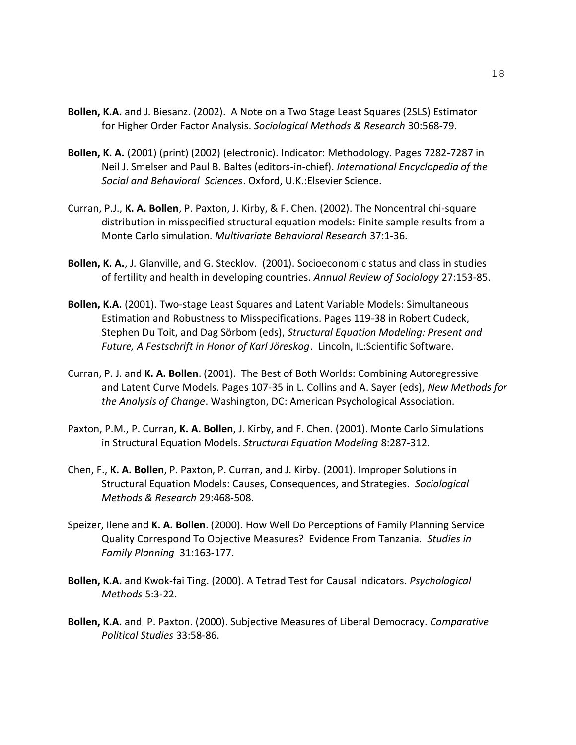- **Bollen, K.A.** and J. Biesanz. (2002). A Note on a Two Stage Least Squares (2SLS) Estimator for Higher Order Factor Analysis. *Sociological Methods & Research* 30:568-79.
- **Bollen, K. A.** (2001) (print) (2002) (electronic). Indicator: Methodology. Pages 7282-7287 in Neil J. Smelser and Paul B. Baltes (editors-in-chief). *International Encyclopedia of the Social and Behavioral Sciences*. Oxford, U.K.:Elsevier Science.
- Curran, P.J., **K. A. Bollen**, P. Paxton, J. Kirby, & F. Chen. (2002). The Noncentral chi-square distribution in misspecified structural equation models: Finite sample results from a Monte Carlo simulation. *Multivariate Behavioral Research* 37:1-36.
- **Bollen, K. A.**, J. Glanville, and G. Stecklov. (2001). Socioeconomic status and class in studies of fertility and health in developing countries. *Annual Review of Sociology* 27:153-85.
- **Bollen, K.A.** (2001). Two-stage Least Squares and Latent Variable Models: Simultaneous Estimation and Robustness to Misspecifications. Pages 119-38 in Robert Cudeck, Stephen Du Toit, and Dag Sörbom (eds), *Structural Equation Modeling: Present and Future, A Festschrift in Honor of Karl Jöreskog*. Lincoln, IL:Scientific Software.
- Curran, P. J. and **K. A. Bollen**. (2001). The Best of Both Worlds: Combining Autoregressive and Latent Curve Models. Pages 107-35 in L. Collins and A. Sayer (eds), *New Methods for the Analysis of Change*. Washington, DC: American Psychological Association.
- Paxton, P.M., P. Curran, **K. A. Bollen**, J. Kirby, and F. Chen. (2001). Monte Carlo Simulations in Structural Equation Models. *Structural Equation Modeling* 8:287-312.
- Chen, F., **K. A. Bollen**, P. Paxton, P. Curran, and J. Kirby. (2001). Improper Solutions in Structural Equation Models: Causes, Consequences, and Strategies. *Sociological Methods & Research* 29:468-508.
- Speizer, Ilene and **K. A. Bollen**. (2000). How Well Do Perceptions of Family Planning Service Quality Correspond To Objective Measures? Evidence From Tanzania. *Studies in Family Planning* 31:163-177.
- **Bollen, K.A.** and Kwok-fai Ting. (2000). A Tetrad Test for Causal Indicators. *Psychological Methods* 5:3-22.
- **Bollen, K.A.** and P. Paxton. (2000). Subjective Measures of Liberal Democracy. *Comparative Political Studies* 33:58-86.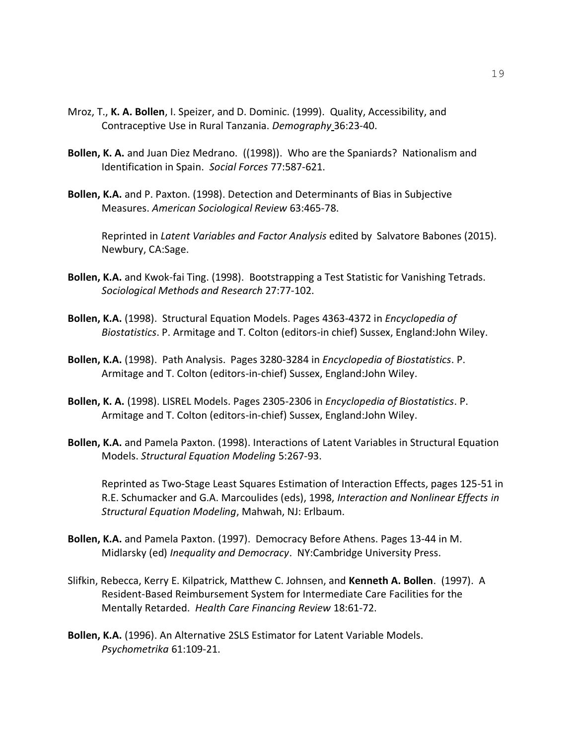- Mroz, T., **K. A. Bollen**, I. Speizer, and D. Dominic. (1999). Quality, Accessibility, and Contraceptive Use in Rural Tanzania. *Demography* 36:23-40.
- **Bollen, K. A.** and Juan Diez Medrano. ((1998)). Who are the Spaniards? Nationalism and Identification in Spain. *Social Forces* 77:587-621.
- **Bollen, K.A.** and P. Paxton. (1998). Detection and Determinants of Bias in Subjective Measures. *American Sociological Review* 63:465-78.

Reprinted in *Latent Variables and Factor Analysis* edited by Salvatore Babones (2015). Newbury, CA:Sage.

- **Bollen, K.A.** and Kwok-fai Ting. (1998). Bootstrapping a Test Statistic for Vanishing Tetrads. *Sociological Methods and Research* 27:77-102.
- **Bollen, K.A.** (1998). Structural Equation Models. Pages 4363-4372 in *Encyclopedia of Biostatistics*. P. Armitage and T. Colton (editors-in chief) Sussex, England:John Wiley.
- **Bollen, K.A.** (1998). Path Analysis. Pages 3280-3284 in *Encyclopedia of Biostatistics*. P. Armitage and T. Colton (editors-in-chief) Sussex, England:John Wiley.
- **Bollen, K. A.** (1998). LISREL Models. Pages 2305-2306 in *Encyclopedia of Biostatistics*. P. Armitage and T. Colton (editors-in-chief) Sussex, England:John Wiley.
- **Bollen, K.A.** and Pamela Paxton. (1998). Interactions of Latent Variables in Structural Equation Models. *Structural Equation Modeling* 5:267-93.

Reprinted as Two-Stage Least Squares Estimation of Interaction Effects, pages 125-51 in R.E. Schumacker and G.A. Marcoulides (eds), 1998, *Interaction and Nonlinear Effects in Structural Equation Modeling*, Mahwah, NJ: Erlbaum.

- **Bollen, K.A.** and Pamela Paxton. (1997). Democracy Before Athens. Pages 13-44 in M. Midlarsky (ed) *Inequality and Democracy*. NY:Cambridge University Press.
- Slifkin, Rebecca, Kerry E. Kilpatrick, Matthew C. Johnsen, and **Kenneth A. Bollen**. (1997). A Resident-Based Reimbursement System for Intermediate Care Facilities for the Mentally Retarded. *Health Care Financing Review* 18:61-72.
- **Bollen, K.A.** (1996). An Alternative 2SLS Estimator for Latent Variable Models. *Psychometrika* 61:109-21.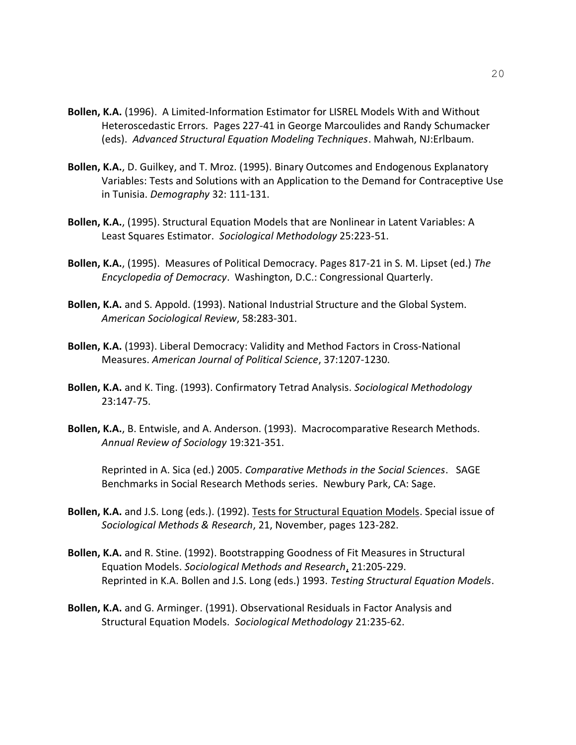- **Bollen, K.A.** (1996). A Limited-Information Estimator for LISREL Models With and Without Heteroscedastic Errors. Pages 227-41 in George Marcoulides and Randy Schumacker (eds). *Advanced Structural Equation Modeling Techniques*. Mahwah, NJ:Erlbaum.
- **Bollen, K.A.**, D. Guilkey, and T. Mroz. (1995). Binary Outcomes and Endogenous Explanatory Variables: Tests and Solutions with an Application to the Demand for Contraceptive Use in Tunisia. *Demography* 32: 111-131.
- **Bollen, K.A.**, (1995). Structural Equation Models that are Nonlinear in Latent Variables: A Least Squares Estimator. *Sociological Methodology* 25:223-51.
- **Bollen, K.A.**, (1995). Measures of Political Democracy. Pages 817-21 in S. M. Lipset (ed.) *The Encyclopedia of Democracy*. Washington, D.C.: Congressional Quarterly.
- **Bollen, K.A.** and S. Appold. (1993). National Industrial Structure and the Global System. *American Sociological Review*, 58:283-301.
- **Bollen, K.A.** (1993). Liberal Democracy: Validity and Method Factors in Cross-National Measures. *American Journal of Political Science*, 37:1207-1230.
- **Bollen, K.A.** and K. Ting. (1993). Confirmatory Tetrad Analysis. *Sociological Methodology* 23:147-75.
- **Bollen, K.A.**, B. Entwisle, and A. Anderson. (1993). Macrocomparative Research Methods. *Annual Review of Sociology* 19:321-351.

Reprinted in A. Sica (ed.) 2005. *Comparative Methods in the Social Sciences*. SAGE Benchmarks in Social Research Methods series. Newbury Park, CA: Sage.

- **Bollen, K.A.** and J.S. Long (eds.). (1992). Tests for Structural Equation Models. Special issue of *Sociological Methods & Research*, 21, November, pages 123-282.
- **Bollen, K.A.** and R. Stine. (1992). Bootstrapping Goodness of Fit Measures in Structural Equation Models. *Sociological Methods and Research*, 21:205-229. Reprinted in K.A. Bollen and J.S. Long (eds.) 1993. *Testing Structural Equation Models*.
- **Bollen, K.A.** and G. Arminger. (1991). Observational Residuals in Factor Analysis and Structural Equation Models. *Sociological Methodology* 21:235-62.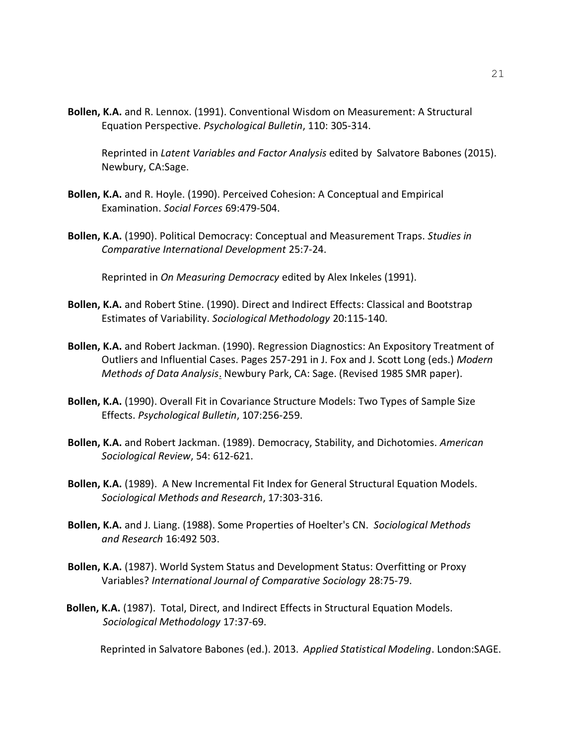**Bollen, K.A.** and R. Lennox. (1991). Conventional Wisdom on Measurement: A Structural Equation Perspective. *Psychological Bulletin*, 110: 305-314.

Reprinted in *Latent Variables and Factor Analysis* edited by Salvatore Babones (2015). Newbury, CA:Sage.

- **Bollen, K.A.** and R. Hoyle. (1990). Perceived Cohesion: A Conceptual and Empirical Examination. *Social Forces* 69:479-504.
- **Bollen, K.A.** (1990). Political Democracy: Conceptual and Measurement Traps. *Studies in Comparative International Development* 25:7-24.

Reprinted in *On Measuring Democracy* edited by Alex Inkeles (1991).

- **Bollen, K.A.** and Robert Stine. (1990). Direct and Indirect Effects: Classical and Bootstrap Estimates of Variability. *Sociological Methodology* 20:115-140.
- **Bollen, K.A.** and Robert Jackman. (1990). Regression Diagnostics: An Expository Treatment of Outliers and Influential Cases. Pages 257-291 in J. Fox and J. Scott Long (eds.) *Modern Methods of Data Analysis*. Newbury Park, CA: Sage. (Revised 1985 SMR paper).
- **Bollen, K.A.** (1990). Overall Fit in Covariance Structure Models: Two Types of Sample Size Effects. *Psychological Bulletin*, 107:256-259.
- **Bollen, K.A.** and Robert Jackman. (1989). Democracy, Stability, and Dichotomies. *American Sociological Review*, 54: 612-621.
- **Bollen, K.A.** (1989). A New Incremental Fit Index for General Structural Equation Models. *Sociological Methods and Research*, 17:303-316.
- **Bollen, K.A.** and J. Liang. (1988). Some Properties of Hoelter's CN. *Sociological Methods and Research* 16:492 503.
- **Bollen, K.A.** (1987). World System Status and Development Status: Overfitting or Proxy Variables? *International Journal of Comparative Sociology* 28:75-79.
- **Bollen, K.A.** (1987). Total, Direct, and Indirect Effects in Structural Equation Models. *Sociological Methodology* 17:37-69.

Reprinted in Salvatore Babones (ed.). 2013. *Applied Statistical Modeling*. London:SAGE.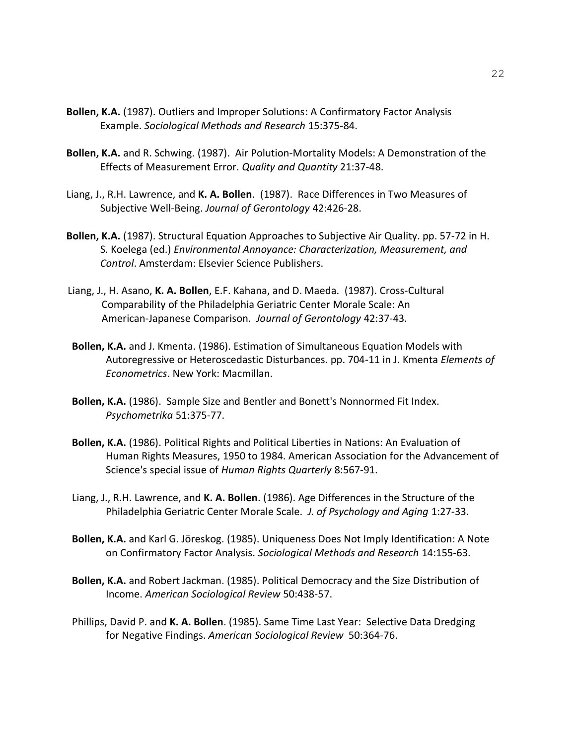- **Bollen, K.A.** (1987). Outliers and Improper Solutions: A Confirmatory Factor Analysis Example. *Sociological Methods and Research* 15:375-84.
- **Bollen, K.A.** and R. Schwing. (1987). Air Polution-Mortality Models: A Demonstration of the Effects of Measurement Error. *Quality and Quantity* 21:37-48.
- Liang, J., R.H. Lawrence, and **K. A. Bollen**. (1987). Race Differences in Two Measures of Subjective Well-Being. *Journal of Gerontology* 42:426-28.
- **Bollen, K.A.** (1987). Structural Equation Approaches to Subjective Air Quality. pp. 57-72 in H. S. Koelega (ed.) *Environmental Annoyance: Characterization, Measurement, and Control*. Amsterdam: Elsevier Science Publishers.
- Liang, J., H. Asano, **K. A. Bollen**, E.F. Kahana, and D. Maeda. (1987). Cross-Cultural Comparability of the Philadelphia Geriatric Center Morale Scale: An American-Japanese Comparison. *Journal of Gerontology* 42:37-43.
- **Bollen, K.A.** and J. Kmenta. (1986). Estimation of Simultaneous Equation Models with Autoregressive or Heteroscedastic Disturbances. pp. 704-11 in J. Kmenta *Elements of Econometrics*. New York: Macmillan.
- **Bollen, K.A.** (1986). Sample Size and Bentler and Bonett's Nonnormed Fit Index. *Psychometrika* 51:375-77.
- **Bollen, K.A.** (1986). Political Rights and Political Liberties in Nations: An Evaluation of Human Rights Measures, 1950 to 1984. American Association for the Advancement of Science's special issue of *Human Rights Quarterly* 8:567-91.
- Liang, J., R.H. Lawrence, and **K. A. Bollen**. (1986). Age Differences in the Structure of the Philadelphia Geriatric Center Morale Scale. *J. of Psychology and Aging* 1:27-33.
- **Bollen, K.A.** and Karl G. Jöreskog. (1985). Uniqueness Does Not Imply Identification: A Note on Confirmatory Factor Analysis. *Sociological Methods and Research* 14:155-63.
- **Bollen, K.A.** and Robert Jackman. (1985). Political Democracy and the Size Distribution of Income. *American Sociological Review* 50:438-57.
- Phillips, David P. and **K. A. Bollen**. (1985). Same Time Last Year: Selective Data Dredging for Negative Findings. *American Sociological Review* 50:364-76.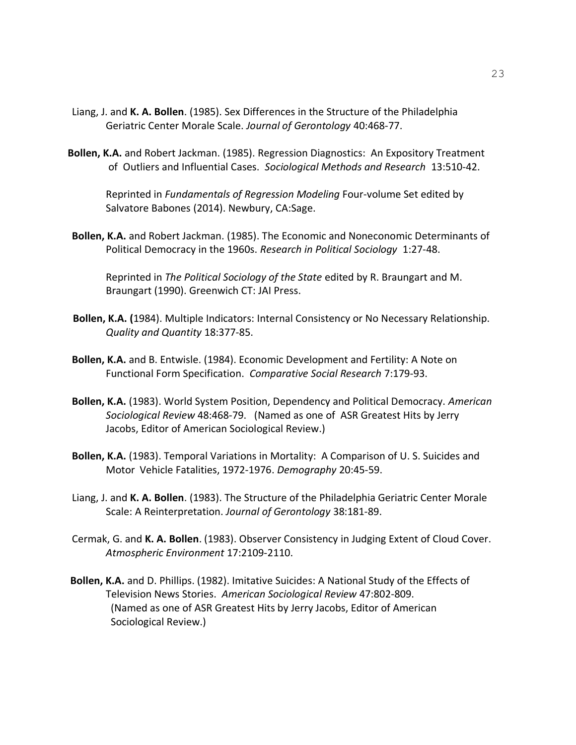- Liang, J. and **K. A. Bollen**. (1985). Sex Differences in the Structure of the Philadelphia Geriatric Center Morale Scale. *Journal of Gerontology* 40:468-77.
- **Bollen, K.A.** and Robert Jackman. (1985). Regression Diagnostics: An Expository Treatment of Outliers and Influential Cases. *Sociological Methods and Research* 13:510-42.

Reprinted in *Fundamentals of Regression Modeling* Four-volume Set edited by Salvatore Babones (2014). Newbury, CA:Sage.

**Bollen, K.A.** and Robert Jackman. (1985). The Economic and Noneconomic Determinants of Political Democracy in the 1960s. *Research in Political Sociology* 1:27-48.

Reprinted in *The Political Sociology of the State* edited by R. Braungart and M. Braungart (1990). Greenwich CT: JAI Press.

- **Bollen, K.A. (**1984). Multiple Indicators: Internal Consistency or No Necessary Relationship. *Quality and Quantity* 18:377-85.
- **Bollen, K.A.** and B. Entwisle. (1984). Economic Development and Fertility: A Note on Functional Form Specification. *Comparative Social Research* 7:179-93.
- **Bollen, K.A.** (1983). World System Position, Dependency and Political Democracy. *American Sociological Review* 48:468-79. (Named as one of ASR Greatest Hits by Jerry Jacobs, Editor of American Sociological Review.)
- **Bollen, K.A.** (1983). Temporal Variations in Mortality: A Comparison of U. S. Suicides and Motor Vehicle Fatalities, 1972-1976. *Demography* 20:45-59.
- Liang, J. and **K. A. Bollen**. (1983). The Structure of the Philadelphia Geriatric Center Morale Scale: A Reinterpretation. *Journal of Gerontology* 38:181-89.
- Cermak, G. and **K. A. Bollen**. (1983). Observer Consistency in Judging Extent of Cloud Cover. *Atmospheric Environment* 17:2109-2110.
- **Bollen, K.A.** and D. Phillips. (1982). Imitative Suicides: A National Study of the Effects of Television News Stories. *American Sociological Review* 47:802-809. (Named as one of ASR Greatest Hits by Jerry Jacobs, Editor of American Sociological Review.)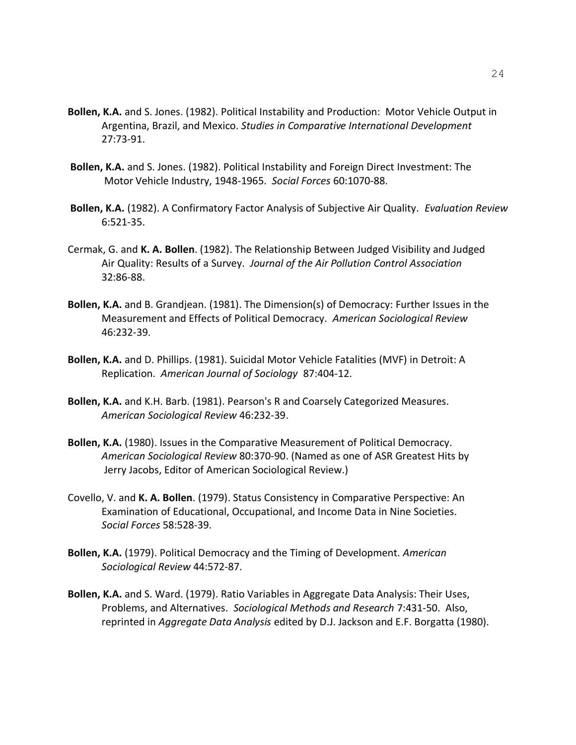- **Bollen, K.A.** and S. Jones. (1982). Political Instability and Production: Motor Vehicle Output in Argentina, Brazil, and Mexico. *Studies in Comparative International Development* 27:73-91.
- **Bollen, K.A.** and S. Jones. (1982). Political Instability and Foreign Direct Investment: The Motor Vehicle Industry, 1948-1965. *Social Forces* 60:1070-88.
- **Bollen, K.A.** (1982). A Confirmatory Factor Analysis of Subjective Air Quality. *Evaluation Review* 6:521-35.
- Cermak, G. and **K. A. Bollen**. (1982). The Relationship Between Judged Visibility and Judged Air Quality: Results of a Survey. *Journal of the Air Pollution Control Association*  32:86-88.
- **Bollen, K.A.** and B. Grandjean. (1981). The Dimension(s) of Democracy: Further Issues in the Measurement and Effects of Political Democracy. *American Sociological Review* 46:232-39.
- **Bollen, K.A.** and D. Phillips. (1981). Suicidal Motor Vehicle Fatalities (MVF) in Detroit: A Replication. *American Journal of Sociology* 87:404-12.
- **Bollen, K.A.** and K.H. Barb. (1981). Pearson's R and Coarsely Categorized Measures. *American Sociological Review* 46:232-39.
- **Bollen, K.A.** (1980). Issues in the Comparative Measurement of Political Democracy. *American Sociological Review* 80:370-90. (Named as one of ASR Greatest Hits by Jerry Jacobs, Editor of American Sociological Review.)
- Covello, V. and **K. A. Bollen**. (1979). Status Consistency in Comparative Perspective: An Examination of Educational, Occupational, and Income Data in Nine Societies. *Social Forces* 58:528-39.
- **Bollen, K.A.** (1979). Political Democracy and the Timing of Development. *American Sociological Review* 44:572-87.
- **Bollen, K.A.** and S. Ward. (1979). Ratio Variables in Aggregate Data Analysis: Their Uses, Problems, and Alternatives. *Sociological Methods and Research* 7:431-50. Also, reprinted in *Aggregate Data Analysis* edited by D.J. Jackson and E.F. Borgatta (1980).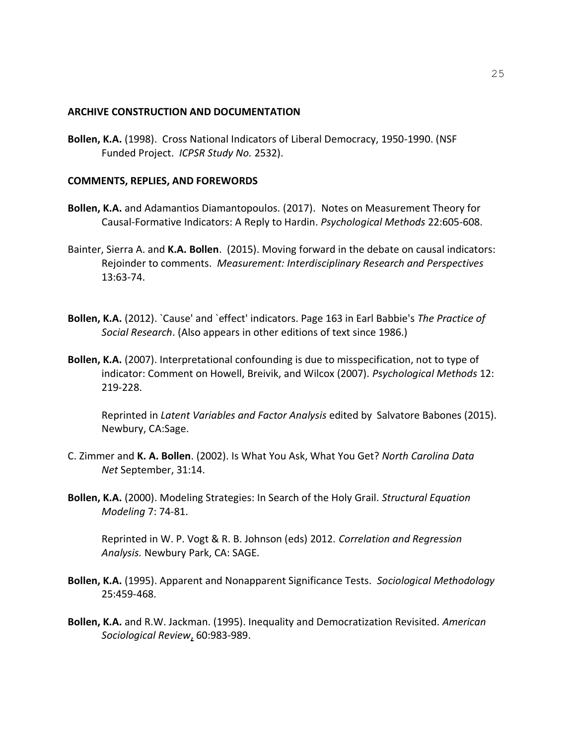#### **ARCHIVE CONSTRUCTION AND DOCUMENTATION**

**Bollen, K.A.** (1998). Cross National Indicators of Liberal Democracy, 1950-1990. (NSF Funded Project. *ICPSR Study No.* 2532).

### **COMMENTS, REPLIES, AND FOREWORDS**

- **Bollen, K.A.** and Adamantios Diamantopoulos. (2017). Notes on Measurement Theory for Causal-Formative Indicators: A Reply to Hardin. *Psychological Methods* 22:605-608.
- Bainter, Sierra A. and **K.A. Bollen**. (2015). Moving forward in the debate on causal indicators: Rejoinder to comments. *Measurement: Interdisciplinary Research and Perspectives* 13:63-74.
- **Bollen, K.A.** (2012). `Cause' and `effect' indicators. Page 163 in Earl Babbie's *The Practice of Social Research*. (Also appears in other editions of text since 1986.)
- **Bollen, K.A.** (2007). Interpretational confounding is due to misspecification, not to type of indicator: Comment on Howell, Breivik, and Wilcox (2007). *Psychological Methods* 12: 219-228.

Reprinted in *Latent Variables and Factor Analysis* edited by Salvatore Babones (2015). Newbury, CA:Sage.

- C. Zimmer and **K. A. Bollen**. (2002). Is What You Ask, What You Get? *North Carolina Data Net* September, 31:14.
- **Bollen, K.A.** (2000). Modeling Strategies: In Search of the Holy Grail. *Structural Equation Modeling* 7: 74-81.

Reprinted in W. P. Vogt & R. B. Johnson (eds) 2012. *Correlation and Regression Analysis.* Newbury Park, CA: SAGE.

- **Bollen, K.A.** (1995). Apparent and Nonapparent Significance Tests. *Sociological Methodology* 25:459-468.
- **Bollen, K.A.** and R.W. Jackman. (1995). Inequality and Democratization Revisited. *American Sociological Review*, 60:983-989.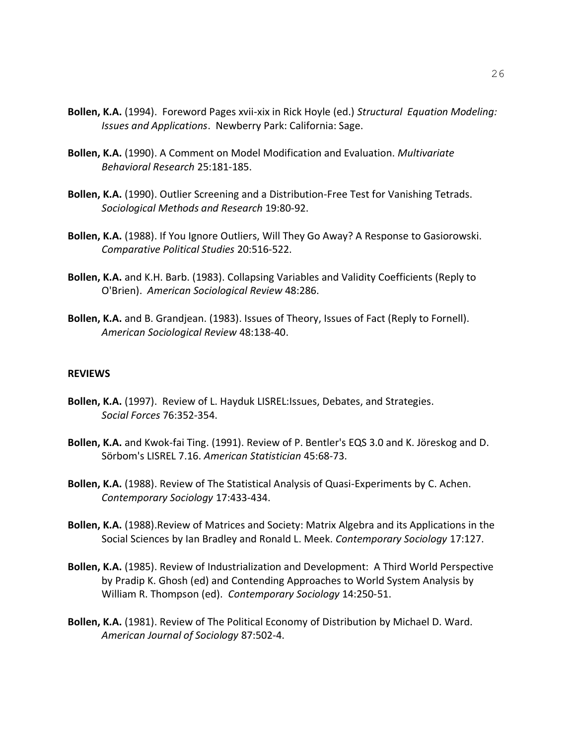- **Bollen, K.A.** (1994). Foreword Pages xvii-xix in Rick Hoyle (ed.) *Structural Equation Modeling: Issues and Applications*. Newberry Park: California: Sage.
- **Bollen, K.A.** (1990). A Comment on Model Modification and Evaluation. *Multivariate Behavioral Research* 25:181-185.
- **Bollen, K.A.** (1990). Outlier Screening and a Distribution-Free Test for Vanishing Tetrads. *Sociological Methods and Research* 19:80-92.
- **Bollen, K.A.** (1988). If You Ignore Outliers, Will They Go Away? A Response to Gasiorowski. *Comparative Political Studies* 20:516-522.
- **Bollen, K.A.** and K.H. Barb. (1983). Collapsing Variables and Validity Coefficients (Reply to O'Brien). *American Sociological Review* 48:286.
- **Bollen, K.A.** and B. Grandjean. (1983). Issues of Theory, Issues of Fact (Reply to Fornell). *American Sociological Review* 48:138-40.

#### **REVIEWS**

- **Bollen, K.A.** (1997). Review of L. Hayduk LISREL:Issues, Debates, and Strategies. *Social Forces* 76:352-354.
- **Bollen, K.A.** and Kwok-fai Ting. (1991). Review of P. Bentler's EQS 3.0 and K. Jöreskog and D. Sörbom's LISREL 7.16. *American Statistician* 45:68-73.
- **Bollen, K.A.** (1988). Review of The Statistical Analysis of Quasi-Experiments by C. Achen. *Contemporary Sociology* 17:433-434.
- **Bollen, K.A.** (1988).Review of Matrices and Society: Matrix Algebra and its Applications in the Social Sciences by Ian Bradley and Ronald L. Meek. *Contemporary Sociology* 17:127.
- **Bollen, K.A.** (1985). Review of Industrialization and Development: A Third World Perspective by Pradip K. Ghosh (ed) and Contending Approaches to World System Analysis by William R. Thompson (ed). *Contemporary Sociology* 14:250-51.
- **Bollen, K.A.** (1981). Review of The Political Economy of Distribution by Michael D. Ward. *American Journal of Sociology* 87:502-4.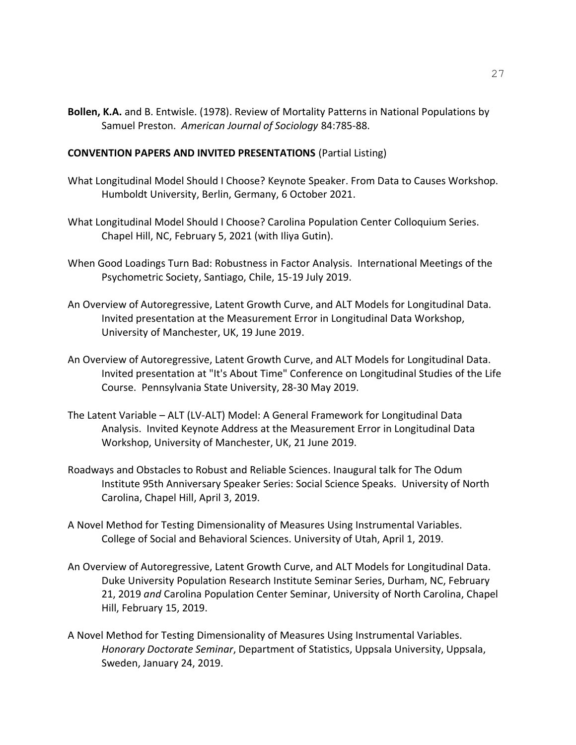**Bollen, K.A.** and B. Entwisle. (1978). Review of Mortality Patterns in National Populations by Samuel Preston. *American Journal of Sociology* 84:785-88.

### **CONVENTION PAPERS AND INVITED PRESENTATIONS** (Partial Listing)

- What Longitudinal Model Should I Choose? Keynote Speaker. From Data to Causes Workshop. Humboldt University, Berlin, Germany, 6 October 2021.
- What Longitudinal Model Should I Choose? Carolina Population Center Colloquium Series. Chapel Hill, NC, February 5, 2021 (with Iliya Gutin).
- When Good Loadings Turn Bad: Robustness in Factor Analysis. International Meetings of the Psychometric Society, Santiago, Chile, 15-19 July 2019.
- An Overview of Autoregressive, Latent Growth Curve, and ALT Models for Longitudinal Data. Invited presentation at the Measurement Error in Longitudinal Data Workshop, University of Manchester, UK, 19 June 2019.
- An Overview of Autoregressive, Latent Growth Curve, and ALT Models for Longitudinal Data. Invited presentation at "It's About Time" Conference on Longitudinal Studies of the Life Course. Pennsylvania State University, 28-30 May 2019.
- The Latent Variable ALT (LV-ALT) Model: A General Framework for Longitudinal Data Analysis. Invited Keynote Address at the Measurement Error in Longitudinal Data Workshop, University of Manchester, UK, 21 June 2019.
- Roadways and Obstacles to Robust and Reliable Sciences. Inaugural talk for The Odum Institute 95th Anniversary Speaker Series: Social Science Speaks. University of North Carolina, Chapel Hill, April 3, 2019.
- A Novel Method for Testing Dimensionality of Measures Using Instrumental Variables. College of Social and Behavioral Sciences. University of Utah, April 1, 2019.
- An Overview of Autoregressive, Latent Growth Curve, and ALT Models for Longitudinal Data. Duke University Population Research Institute Seminar Series, Durham, NC, February 21, 2019 *and* Carolina Population Center Seminar, University of North Carolina, Chapel Hill, February 15, 2019.
- A Novel Method for Testing Dimensionality of Measures Using Instrumental Variables. *Honorary Doctorate Seminar*, Department of Statistics, Uppsala University, Uppsala, Sweden, January 24, 2019.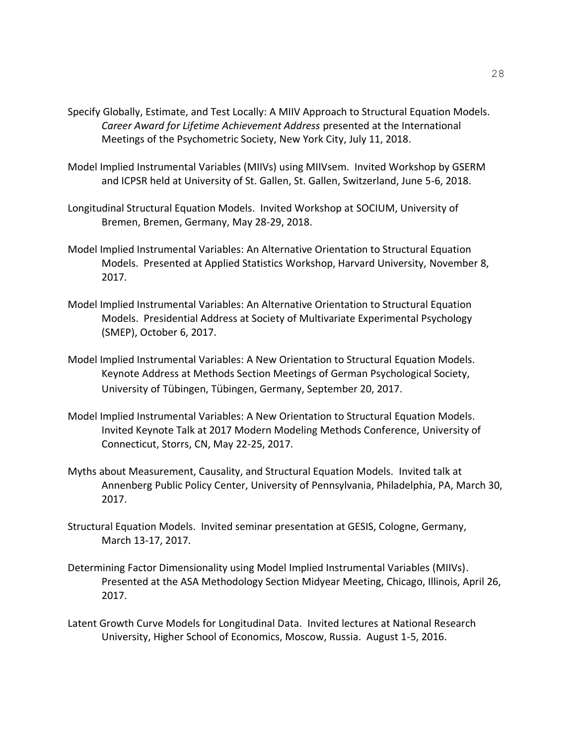- Specify Globally, Estimate, and Test Locally: A MIIV Approach to Structural Equation Models. *Career Award for Lifetime Achievement Address* presented at the International Meetings of the Psychometric Society, New York City, July 11, 2018.
- Model Implied Instrumental Variables (MIIVs) using MIIVsem. Invited Workshop by GSERM and ICPSR held at University of St. Gallen, St. Gallen, Switzerland, June 5-6, 2018.
- Longitudinal Structural Equation Models. Invited Workshop at SOCIUM, University of Bremen, Bremen, Germany, May 28-29, 2018.
- Model Implied Instrumental Variables: An Alternative Orientation to Structural Equation Models. Presented at Applied Statistics Workshop, Harvard University, November 8, 2017.
- Model Implied Instrumental Variables: An Alternative Orientation to Structural Equation Models. Presidential Address at Society of Multivariate Experimental Psychology (SMEP), October 6, 2017.
- Model Implied Instrumental Variables: A New Orientation to Structural Equation Models. Keynote Address at Methods Section Meetings of German Psychological Society, University of Tübingen, Tübingen, Germany, September 20, 2017.
- Model Implied Instrumental Variables: A New Orientation to Structural Equation Models. Invited Keynote Talk at 2017 Modern Modeling Methods Conference, University of Connecticut, Storrs, CN, May 22-25, 2017.
- Myths about Measurement, Causality, and Structural Equation Models. Invited talk at Annenberg Public Policy Center, University of Pennsylvania, Philadelphia, PA, March 30, 2017.
- Structural Equation Models. Invited seminar presentation at GESIS, Cologne, Germany, March 13-17, 2017.
- Determining Factor Dimensionality using Model Implied Instrumental Variables (MIIVs). Presented at the ASA Methodology Section Midyear Meeting, Chicago, Illinois, April 26, 2017.
- Latent Growth Curve Models for Longitudinal Data. Invited lectures at National Research University, Higher School of Economics, Moscow, Russia. August 1-5, 2016.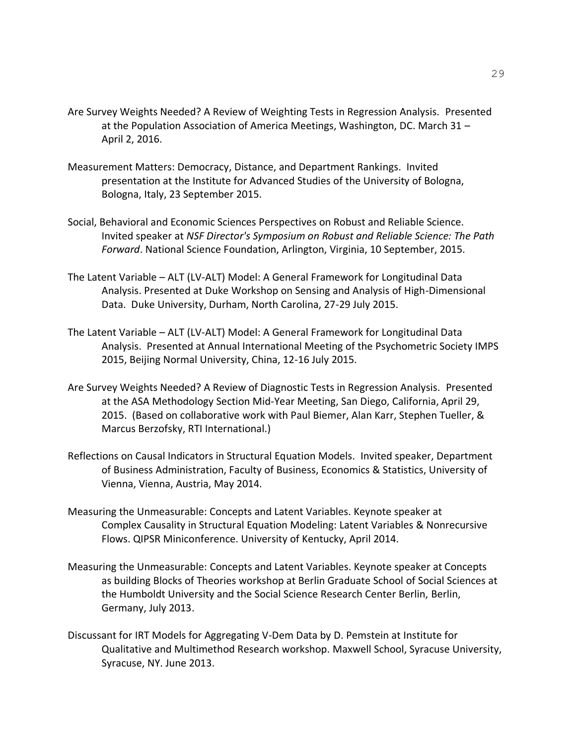- Are Survey Weights Needed? A Review of Weighting Tests in Regression Analysis. Presented at the Population Association of America Meetings, Washington, DC. March 31 – April 2, 2016.
- Measurement Matters: Democracy, Distance, and Department Rankings. Invited presentation at the Institute for Advanced Studies of the University of Bologna, Bologna, Italy, 23 September 2015.
- Social, Behavioral and Economic Sciences Perspectives on Robust and Reliable Science. Invited speaker at *NSF Director's Symposium on Robust and Reliable Science: The Path Forward*. National Science Foundation, Arlington, Virginia, 10 September, 2015.
- The Latent Variable ALT (LV-ALT) Model: A General Framework for Longitudinal Data Analysis. Presented at Duke Workshop on Sensing and Analysis of High-Dimensional Data. Duke University, Durham, North Carolina, 27-29 July 2015.
- The Latent Variable ALT (LV-ALT) Model: A General Framework for Longitudinal Data Analysis. Presented at Annual International Meeting of the Psychometric Society IMPS 2015, Beijing Normal University, China, 12-16 July 2015.
- Are Survey Weights Needed? A Review of Diagnostic Tests in Regression Analysis. Presented at the ASA Methodology Section Mid-Year Meeting, San Diego, California, April 29, 2015. (Based on collaborative work with Paul Biemer, Alan Karr, Stephen Tueller, & Marcus Berzofsky, RTI International.)
- Reflections on Causal Indicators in Structural Equation Models. Invited speaker, Department of Business Administration, Faculty of Business, Economics & Statistics, University of Vienna, Vienna, Austria, May 2014.
- Measuring the Unmeasurable: Concepts and Latent Variables. Keynote speaker at Complex Causality in Structural Equation Modeling: Latent Variables & Nonrecursive Flows. QIPSR Miniconference. University of Kentucky, April 2014.
- Measuring the Unmeasurable: Concepts and Latent Variables. Keynote speaker at Concepts as building Blocks of Theories workshop at Berlin Graduate School of Social Sciences at the Humboldt University and the Social Science Research Center Berlin, Berlin, Germany, July 2013.
- Discussant for IRT Models for Aggregating V-Dem Data by D. Pemstein at Institute for Qualitative and Multimethod Research workshop. Maxwell School, Syracuse University, Syracuse, NY. June 2013.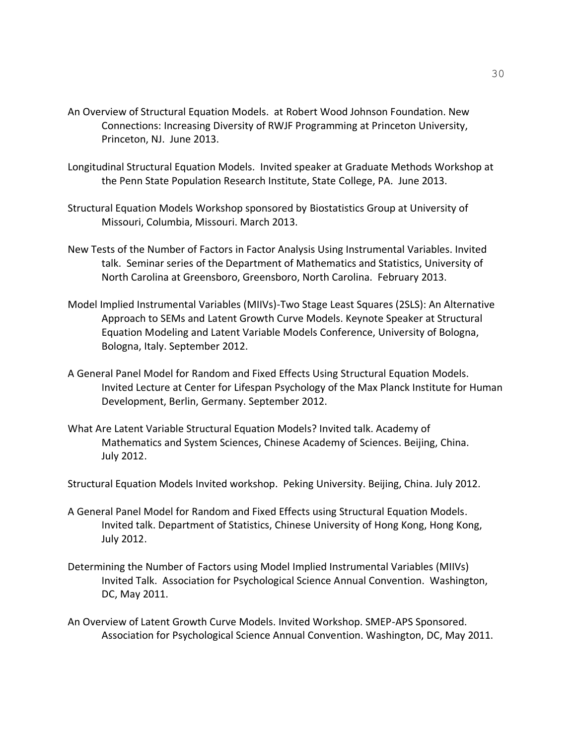- An Overview of Structural Equation Models. at Robert Wood Johnson Foundation. New Connections: Increasing Diversity of RWJF Programming at Princeton University, Princeton, NJ. June 2013.
- Longitudinal Structural Equation Models. Invited speaker at Graduate Methods Workshop at the Penn State Population Research Institute, State College, PA. June 2013.
- Structural Equation Models Workshop sponsored by Biostatistics Group at University of Missouri, Columbia, Missouri. March 2013.
- New Tests of the Number of Factors in Factor Analysis Using Instrumental Variables. Invited talk. Seminar series of the Department of Mathematics and Statistics, University of North Carolina at Greensboro, Greensboro, North Carolina. February 2013.
- Model Implied Instrumental Variables (MIIVs)-Two Stage Least Squares (2SLS): An Alternative Approach to SEMs and Latent Growth Curve Models. Keynote Speaker at Structural Equation Modeling and Latent Variable Models Conference, University of Bologna, Bologna, Italy. September 2012.
- A General Panel Model for Random and Fixed Effects Using Structural Equation Models. Invited Lecture at Center for Lifespan Psychology of the Max Planck Institute for Human Development, Berlin, Germany. September 2012.
- What Are Latent Variable Structural Equation Models? Invited talk. Academy of Mathematics and System Sciences, Chinese Academy of Sciences. Beijing, China. July 2012.
- Structural Equation Models Invited workshop. Peking University. Beijing, China. July 2012.
- A General Panel Model for Random and Fixed Effects using Structural Equation Models. Invited talk. Department of Statistics, Chinese University of Hong Kong, Hong Kong, July 2012.
- Determining the Number of Factors using Model Implied Instrumental Variables (MIIVs) Invited Talk. Association for Psychological Science Annual Convention. Washington, DC, May 2011.
- An Overview of Latent Growth Curve Models. Invited Workshop. SMEP-APS Sponsored. Association for Psychological Science Annual Convention. Washington, DC, May 2011.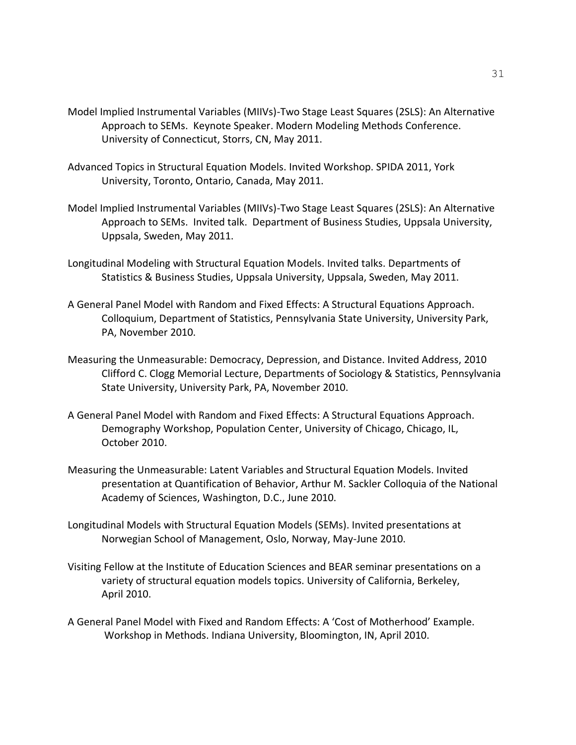- Model Implied Instrumental Variables (MIIVs)-Two Stage Least Squares (2SLS): An Alternative Approach to SEMs. Keynote Speaker. Modern Modeling Methods Conference. University of Connecticut, Storrs, CN, May 2011.
- Advanced Topics in Structural Equation Models. Invited Workshop. SPIDA 2011, York University, Toronto, Ontario, Canada, May 2011.
- Model Implied Instrumental Variables (MIIVs)-Two Stage Least Squares (2SLS): An Alternative Approach to SEMs. Invited talk. Department of Business Studies, Uppsala University, Uppsala, Sweden, May 2011.
- Longitudinal Modeling with Structural Equation Models. Invited talks. Departments of Statistics & Business Studies, Uppsala University, Uppsala, Sweden, May 2011.
- A General Panel Model with Random and Fixed Effects: A Structural Equations Approach. Colloquium, Department of Statistics, Pennsylvania State University, University Park, PA, November 2010.
- Measuring the Unmeasurable: Democracy, Depression, and Distance. Invited Address, 2010 Clifford C. Clogg Memorial Lecture, Departments of Sociology & Statistics, Pennsylvania State University, University Park, PA, November 2010.
- A General Panel Model with Random and Fixed Effects: A Structural Equations Approach. Demography Workshop, Population Center, University of Chicago, Chicago, IL, October 2010.
- Measuring the Unmeasurable: Latent Variables and Structural Equation Models. Invited presentation at Quantification of Behavior, Arthur M. Sackler Colloquia of the National Academy of Sciences, Washington, D.C., June 2010.
- Longitudinal Models with Structural Equation Models (SEMs). Invited presentations at Norwegian School of Management, Oslo, Norway, May-June 2010.
- Visiting Fellow at the Institute of Education Sciences and BEAR seminar presentations on a variety of structural equation models topics. University of California, Berkeley, April 2010.
- A General Panel Model with Fixed and Random Effects: A 'Cost of Motherhood' Example. Workshop in Methods. Indiana University, Bloomington, IN, April 2010.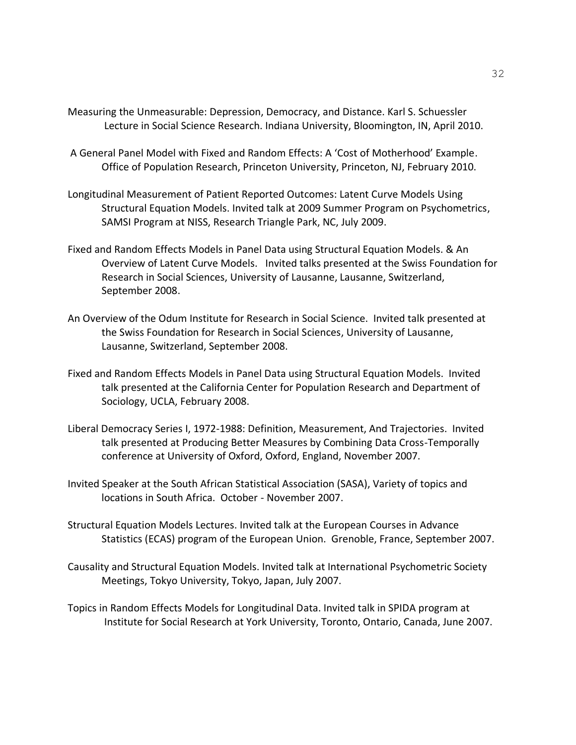- Measuring the Unmeasurable: Depression, Democracy, and Distance. Karl S. Schuessler Lecture in Social Science Research. Indiana University, Bloomington, IN, April 2010.
- A General Panel Model with Fixed and Random Effects: A 'Cost of Motherhood' Example. Office of Population Research, Princeton University, Princeton, NJ, February 2010.
- Longitudinal Measurement of Patient Reported Outcomes: Latent Curve Models Using Structural Equation Models. Invited talk at 2009 Summer Program on Psychometrics, SAMSI Program at NISS, Research Triangle Park, NC, July 2009.
- Fixed and Random Effects Models in Panel Data using Structural Equation Models. & An Overview of Latent Curve Models. Invited talks presented at the Swiss Foundation for Research in Social Sciences, University of Lausanne, Lausanne, Switzerland, September 2008.
- An Overview of the Odum Institute for Research in Social Science. Invited talk presented at the Swiss Foundation for Research in Social Sciences, University of Lausanne, Lausanne, Switzerland, September 2008.
- Fixed and Random Effects Models in Panel Data using Structural Equation Models. Invited talk presented at the California Center for Population Research and Department of Sociology, UCLA, February 2008.
- Liberal Democracy Series I, 1972-1988: Definition, Measurement, And Trajectories. Invited talk presented at Producing Better Measures by Combining Data Cross-Temporally conference at University of Oxford, Oxford, England, November 2007.
- Invited Speaker at the South African Statistical Association (SASA), Variety of topics and locations in South Africa. October - November 2007.
- Structural Equation Models Lectures. Invited talk at the European Courses in Advance Statistics (ECAS) program of the European Union. Grenoble, France, September 2007.
- Causality and Structural Equation Models. Invited talk at International Psychometric Society Meetings, Tokyo University, Tokyo, Japan, July 2007.
- Topics in Random Effects Models for Longitudinal Data. Invited talk in SPIDA program at Institute for Social Research at York University, Toronto, Ontario, Canada, June 2007.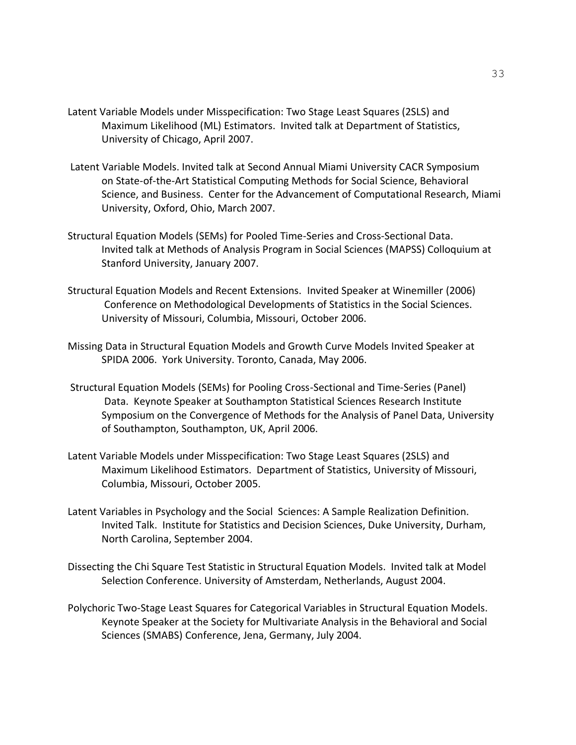- Latent Variable Models under Misspecification: Two Stage Least Squares (2SLS) and Maximum Likelihood (ML) Estimators. Invited talk at Department of Statistics, University of Chicago, April 2007.
- Latent Variable Models. Invited talk at Second Annual Miami University CACR Symposium on State-of-the-Art Statistical Computing Methods for Social Science, Behavioral Science, and Business. Center for the Advancement of Computational Research, Miami University, Oxford, Ohio, March 2007.
- Structural Equation Models (SEMs) for Pooled Time-Series and Cross-Sectional Data. Invited talk at Methods of Analysis Program in Social Sciences (MAPSS) Colloquium at Stanford University, January 2007.
- Structural Equation Models and Recent Extensions. Invited Speaker at Winemiller (2006) Conference on Methodological Developments of Statistics in the Social Sciences. University of Missouri, Columbia, Missouri, October 2006.
- Missing Data in Structural Equation Models and Growth Curve Models Invited Speaker at SPIDA 2006. York University. Toronto, Canada, May 2006.
- Structural Equation Models (SEMs) for Pooling Cross-Sectional and Time-Series (Panel) Data. Keynote Speaker at Southampton Statistical Sciences Research Institute Symposium on the Convergence of Methods for the Analysis of Panel Data, University of Southampton, Southampton, UK, April 2006.
- Latent Variable Models under Misspecification: Two Stage Least Squares (2SLS) and Maximum Likelihood Estimators. Department of Statistics, University of Missouri, Columbia, Missouri, October 2005.
- Latent Variables in Psychology and the Social Sciences: A Sample Realization Definition. Invited Talk. Institute for Statistics and Decision Sciences, Duke University, Durham, North Carolina, September 2004.
- Dissecting the Chi Square Test Statistic in Structural Equation Models. Invited talk at Model Selection Conference. University of Amsterdam, Netherlands, August 2004.
- Polychoric Two-Stage Least Squares for Categorical Variables in Structural Equation Models. Keynote Speaker at the Society for Multivariate Analysis in the Behavioral and Social Sciences (SMABS) Conference, Jena, Germany, July 2004.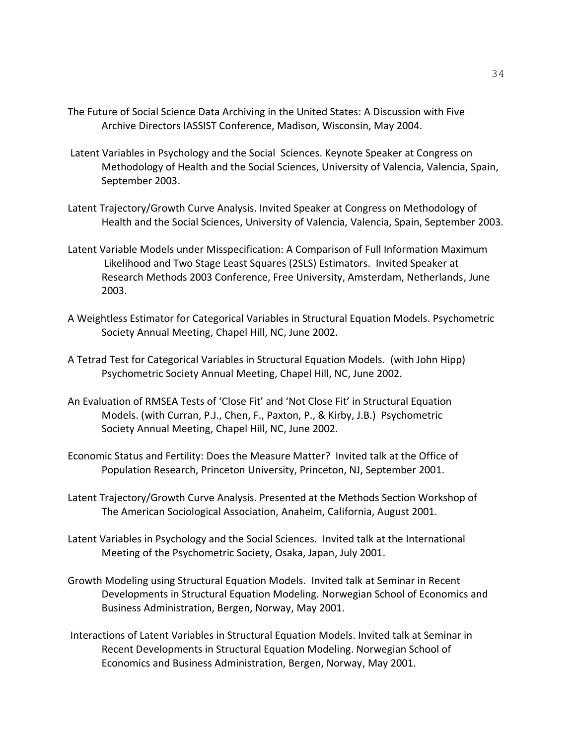- The Future of Social Science Data Archiving in the United States: A Discussion with Five Archive Directors IASSIST Conference, Madison, Wisconsin, May 2004.
- Latent Variables in Psychology and the Social Sciences. Keynote Speaker at Congress on Methodology of Health and the Social Sciences, University of Valencia, Valencia, Spain, September 2003.
- Latent Trajectory/Growth Curve Analysis. Invited Speaker at Congress on Methodology of Health and the Social Sciences, University of Valencia, Valencia, Spain, September 2003.
- Latent Variable Models under Misspecification: A Comparison of Full Information Maximum Likelihood and Two Stage Least Squares (2SLS) Estimators. Invited Speaker at Research Methods 2003 Conference, Free University, Amsterdam, Netherlands, June 2003.
- A Weightless Estimator for Categorical Variables in Structural Equation Models. Psychometric Society Annual Meeting, Chapel Hill, NC, June 2002.
- A Tetrad Test for Categorical Variables in Structural Equation Models. (with John Hipp) Psychometric Society Annual Meeting, Chapel Hill, NC, June 2002.
- An Evaluation of RMSEA Tests of 'Close Fit' and 'Not Close Fit' in Structural Equation Models. (with Curran, P.J., Chen, F., Paxton, P., & Kirby, J.B.) Psychometric Society Annual Meeting, Chapel Hill, NC, June 2002.
- Economic Status and Fertility: Does the Measure Matter? Invited talk at the Office of Population Research, Princeton University, Princeton, NJ, September 2001.
- Latent Trajectory/Growth Curve Analysis. Presented at the Methods Section Workshop of The American Sociological Association, Anaheim, California, August 2001.
- Latent Variables in Psychology and the Social Sciences. Invited talk at the International Meeting of the Psychometric Society, Osaka, Japan, July 2001.
- Growth Modeling using Structural Equation Models. Invited talk at Seminar in Recent Developments in Structural Equation Modeling. Norwegian School of Economics and Business Administration, Bergen, Norway, May 2001.
- Interactions of Latent Variables in Structural Equation Models. Invited talk at Seminar in Recent Developments in Structural Equation Modeling. Norwegian School of Economics and Business Administration, Bergen, Norway, May 2001.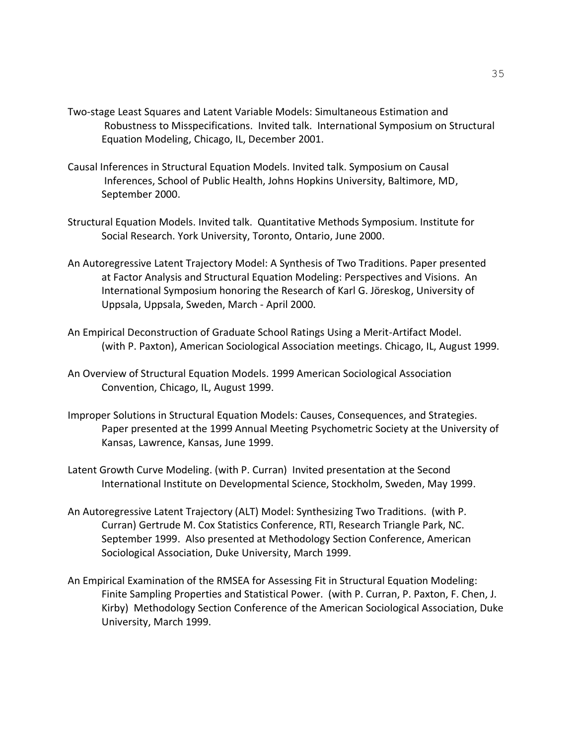- Two-stage Least Squares and Latent Variable Models: Simultaneous Estimation and Robustness to Misspecifications. Invited talk. International Symposium on Structural Equation Modeling, Chicago, IL, December 2001.
- Causal Inferences in Structural Equation Models. Invited talk. Symposium on Causal Inferences, School of Public Health, Johns Hopkins University, Baltimore, MD, September 2000.
- Structural Equation Models. Invited talk. Quantitative Methods Symposium. Institute for Social Research. York University, Toronto, Ontario, June 2000.
- An Autoregressive Latent Trajectory Model: A Synthesis of Two Traditions. Paper presented at Factor Analysis and Structural Equation Modeling: Perspectives and Visions. An International Symposium honoring the Research of Karl G. Jöreskog, University of Uppsala, Uppsala, Sweden, March - April 2000.
- An Empirical Deconstruction of Graduate School Ratings Using a Merit-Artifact Model. (with P. Paxton), American Sociological Association meetings. Chicago, IL, August 1999.
- An Overview of Structural Equation Models. 1999 American Sociological Association Convention, Chicago, IL, August 1999.
- Improper Solutions in Structural Equation Models: Causes, Consequences, and Strategies. Paper presented at the 1999 Annual Meeting Psychometric Society at the University of Kansas, Lawrence, Kansas, June 1999.
- Latent Growth Curve Modeling. (with P. Curran) Invited presentation at the Second International Institute on Developmental Science, Stockholm, Sweden, May 1999.
- An Autoregressive Latent Trajectory (ALT) Model: Synthesizing Two Traditions. (with P. Curran) Gertrude M. Cox Statistics Conference, RTI, Research Triangle Park, NC. September 1999. Also presented at Methodology Section Conference, American Sociological Association, Duke University, March 1999.
- An Empirical Examination of the RMSEA for Assessing Fit in Structural Equation Modeling: Finite Sampling Properties and Statistical Power. (with P. Curran, P. Paxton, F. Chen, J. Kirby) Methodology Section Conference of the American Sociological Association, Duke University, March 1999.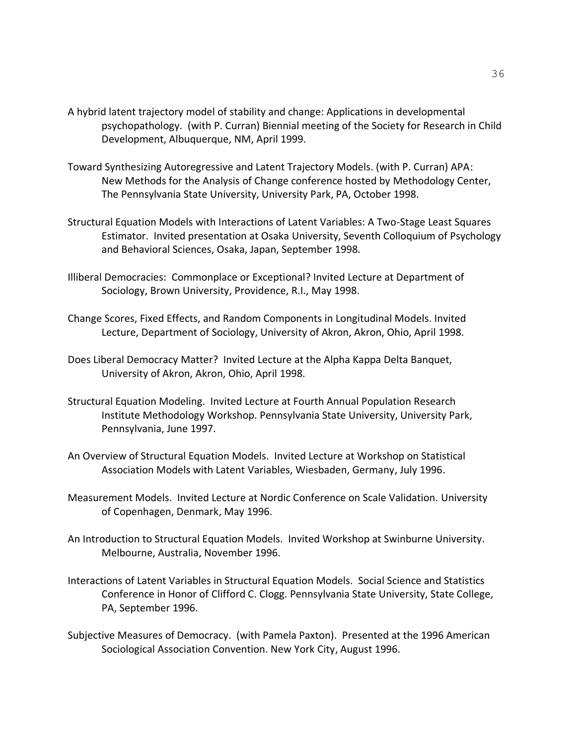- A hybrid latent trajectory model of stability and change: Applications in developmental psychopathology. (with P. Curran) Biennial meeting of the Society for Research in Child Development, Albuquerque, NM, April 1999.
- Toward Synthesizing Autoregressive and Latent Trajectory Models. (with P. Curran) APA: New Methods for the Analysis of Change conference hosted by Methodology Center, The Pennsylvania State University, University Park, PA, October 1998.
- Structural Equation Models with Interactions of Latent Variables: A Two-Stage Least Squares Estimator. Invited presentation at Osaka University, Seventh Colloquium of Psychology and Behavioral Sciences, Osaka, Japan, September 1998.
- Illiberal Democracies: Commonplace or Exceptional? Invited Lecture at Department of Sociology, Brown University, Providence, R.I., May 1998.
- Change Scores, Fixed Effects, and Random Components in Longitudinal Models. Invited Lecture, Department of Sociology, University of Akron, Akron, Ohio, April 1998.
- Does Liberal Democracy Matter? Invited Lecture at the Alpha Kappa Delta Banquet, University of Akron, Akron, Ohio, April 1998.
- Structural Equation Modeling. Invited Lecture at Fourth Annual Population Research Institute Methodology Workshop. Pennsylvania State University, University Park, Pennsylvania, June 1997.
- An Overview of Structural Equation Models. Invited Lecture at Workshop on Statistical Association Models with Latent Variables, Wiesbaden, Germany, July 1996.
- Measurement Models. Invited Lecture at Nordic Conference on Scale Validation. University of Copenhagen, Denmark, May 1996.
- An Introduction to Structural Equation Models. Invited Workshop at Swinburne University. Melbourne, Australia, November 1996.
- Interactions of Latent Variables in Structural Equation Models. Social Science and Statistics Conference in Honor of Clifford C. Clogg. Pennsylvania State University, State College, PA, September 1996.
- Subjective Measures of Democracy. (with Pamela Paxton). Presented at the 1996 American Sociological Association Convention. New York City, August 1996.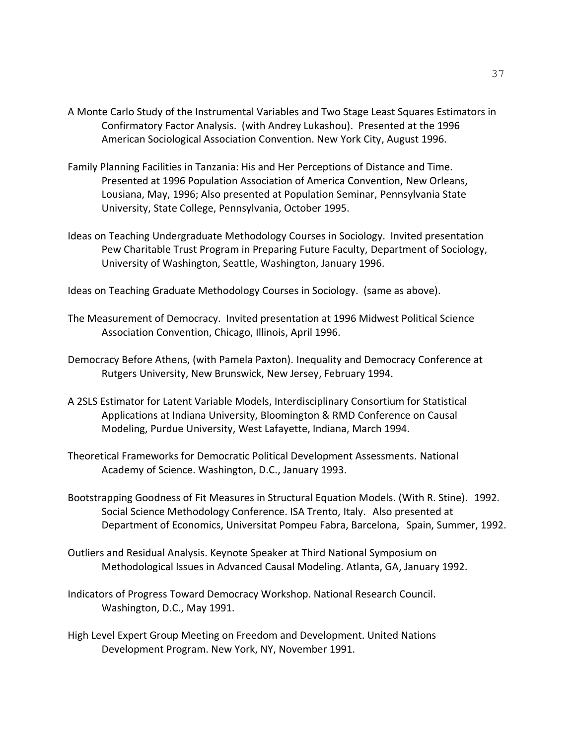- A Monte Carlo Study of the Instrumental Variables and Two Stage Least Squares Estimators in Confirmatory Factor Analysis. (with Andrey Lukashou). Presented at the 1996 American Sociological Association Convention. New York City, August 1996.
- Family Planning Facilities in Tanzania: His and Her Perceptions of Distance and Time. Presented at 1996 Population Association of America Convention, New Orleans, Lousiana, May, 1996; Also presented at Population Seminar, Pennsylvania State University, State College, Pennsylvania, October 1995.
- Ideas on Teaching Undergraduate Methodology Courses in Sociology. Invited presentation Pew Charitable Trust Program in Preparing Future Faculty, Department of Sociology, University of Washington, Seattle, Washington, January 1996.

Ideas on Teaching Graduate Methodology Courses in Sociology. (same as above).

- The Measurement of Democracy. Invited presentation at 1996 Midwest Political Science Association Convention, Chicago, Illinois, April 1996.
- Democracy Before Athens, (with Pamela Paxton). Inequality and Democracy Conference at Rutgers University, New Brunswick, New Jersey, February 1994.
- A 2SLS Estimator for Latent Variable Models, Interdisciplinary Consortium for Statistical Applications at Indiana University, Bloomington & RMD Conference on Causal Modeling, Purdue University, West Lafayette, Indiana, March 1994.
- Theoretical Frameworks for Democratic Political Development Assessments. National Academy of Science. Washington, D.C., January 1993.
- Bootstrapping Goodness of Fit Measures in Structural Equation Models. (With R. Stine). 1992. Social Science Methodology Conference. ISA Trento, Italy. Also presented at Department of Economics, Universitat Pompeu Fabra, Barcelona, Spain, Summer, 1992.
- Outliers and Residual Analysis. Keynote Speaker at Third National Symposium on Methodological Issues in Advanced Causal Modeling. Atlanta, GA, January 1992.
- Indicators of Progress Toward Democracy Workshop. National Research Council. Washington, D.C., May 1991.
- High Level Expert Group Meeting on Freedom and Development. United Nations Development Program. New York, NY, November 1991.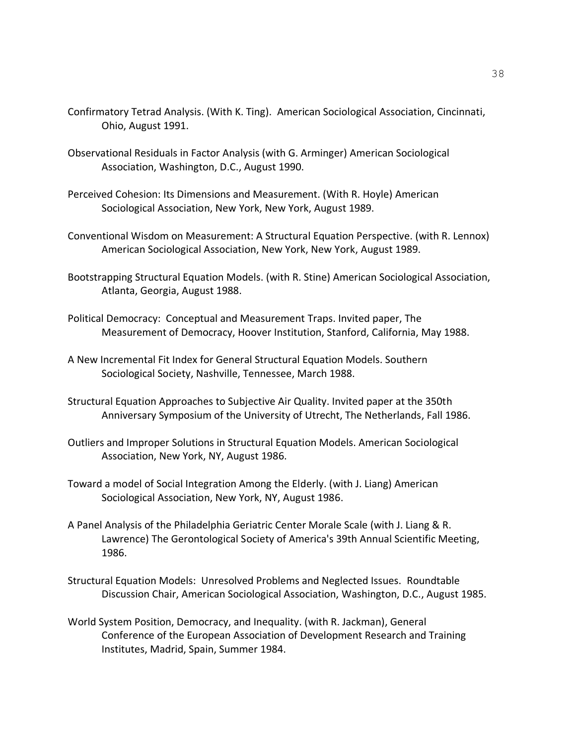- Confirmatory Tetrad Analysis. (With K. Ting). American Sociological Association, Cincinnati, Ohio, August 1991.
- Observational Residuals in Factor Analysis (with G. Arminger) American Sociological Association, Washington, D.C., August 1990.
- Perceived Cohesion: Its Dimensions and Measurement. (With R. Hoyle) American Sociological Association, New York, New York, August 1989.
- Conventional Wisdom on Measurement: A Structural Equation Perspective. (with R. Lennox) American Sociological Association, New York, New York, August 1989.
- Bootstrapping Structural Equation Models. (with R. Stine) American Sociological Association, Atlanta, Georgia, August 1988.
- Political Democracy: Conceptual and Measurement Traps. Invited paper, The Measurement of Democracy, Hoover Institution, Stanford, California, May 1988.
- A New Incremental Fit Index for General Structural Equation Models. Southern Sociological Society, Nashville, Tennessee, March 1988.
- Structural Equation Approaches to Subjective Air Quality. Invited paper at the 350th Anniversary Symposium of the University of Utrecht, The Netherlands, Fall 1986.
- Outliers and Improper Solutions in Structural Equation Models. American Sociological Association, New York, NY, August 1986.
- Toward a model of Social Integration Among the Elderly. (with J. Liang) American Sociological Association, New York, NY, August 1986.
- A Panel Analysis of the Philadelphia Geriatric Center Morale Scale (with J. Liang & R. Lawrence) The Gerontological Society of America's 39th Annual Scientific Meeting, 1986.
- Structural Equation Models: Unresolved Problems and Neglected Issues. Roundtable Discussion Chair, American Sociological Association, Washington, D.C., August 1985.
- World System Position, Democracy, and Inequality. (with R. Jackman), General Conference of the European Association of Development Research and Training Institutes, Madrid, Spain, Summer 1984.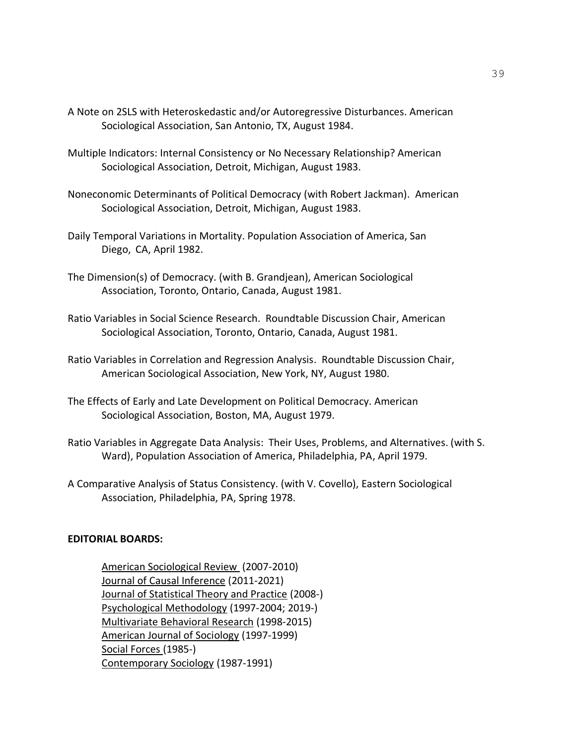- A Note on 2SLS with Heteroskedastic and/or Autoregressive Disturbances. American Sociological Association, San Antonio, TX, August 1984.
- Multiple Indicators: Internal Consistency or No Necessary Relationship? American Sociological Association, Detroit, Michigan, August 1983.
- Noneconomic Determinants of Political Democracy (with Robert Jackman). American Sociological Association, Detroit, Michigan, August 1983.
- Daily Temporal Variations in Mortality. Population Association of America, San Diego, CA, April 1982.
- The Dimension(s) of Democracy. (with B. Grandjean), American Sociological Association, Toronto, Ontario, Canada, August 1981.
- Ratio Variables in Social Science Research. Roundtable Discussion Chair, American Sociological Association, Toronto, Ontario, Canada, August 1981.
- Ratio Variables in Correlation and Regression Analysis. Roundtable Discussion Chair, American Sociological Association, New York, NY, August 1980.
- The Effects of Early and Late Development on Political Democracy. American Sociological Association, Boston, MA, August 1979.
- Ratio Variables in Aggregate Data Analysis: Their Uses, Problems, and Alternatives. (with S. Ward), Population Association of America, Philadelphia, PA, April 1979.
- A Comparative Analysis of Status Consistency. (with V. Covello), Eastern Sociological Association, Philadelphia, PA, Spring 1978.

### **EDITORIAL BOARDS:**

American Sociological Review (2007-2010) Journal of Causal Inference (2011-2021) Journal of Statistical Theory and Practice (2008-) Psychological Methodology (1997-2004; 2019-) Multivariate Behavioral Research (1998-2015) American Journal of Sociology (1997-1999) Social Forces (1985-) Contemporary Sociology (1987-1991)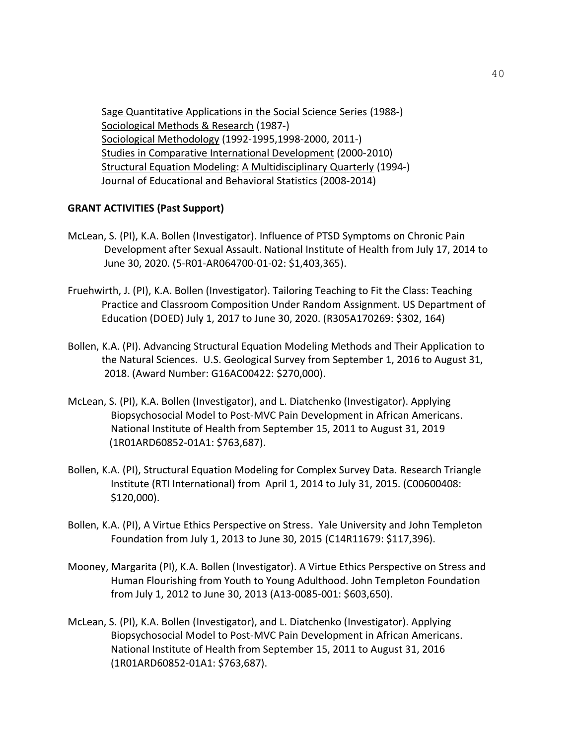Sage Quantitative Applications in the Social Science Series (1988-) Sociological Methods & Research (1987-) Sociological Methodology (1992-1995,1998-2000, 2011-) Studies in Comparative International Development (2000-2010) Structural Equation Modeling: A Multidisciplinary Quarterly (1994-) Journal of Educational and Behavioral Statistics (2008-2014)

### **GRANT ACTIVITIES (Past Support)**

- McLean, S. (PI), K.A. Bollen (Investigator). Influence of PTSD Symptoms on Chronic Pain Development after Sexual Assault. National Institute of Health from July 17, 2014 to June 30, 2020. (5-R01-AR064700-01-02: \$1,403,365).
- Fruehwirth, J. (PI), K.A. Bollen (Investigator). Tailoring Teaching to Fit the Class: Teaching Practice and Classroom Composition Under Random Assignment. US Department of Education (DOED) July 1, 2017 to June 30, 2020. (R305A170269: \$302, 164)
- Bollen, K.A. (PI). Advancing Structural Equation Modeling Methods and Their Application to the Natural Sciences. U.S. Geological Survey from September 1, 2016 to August 31, 2018. (Award Number: G16AC00422: \$270,000).
- McLean, S. (PI), K.A. Bollen (Investigator), and L. Diatchenko (Investigator). Applying Biopsychosocial Model to Post-MVC Pain Development in African Americans. National Institute of Health from September 15, 2011 to August 31, 2019 (1R01ARD60852-01A1: \$763,687).
- Bollen, K.A. (PI), Structural Equation Modeling for Complex Survey Data. Research Triangle Institute (RTI International) from April 1, 2014 to July 31, 2015. (C00600408: \$120,000).
- Bollen, K.A. (PI), A Virtue Ethics Perspective on Stress. Yale University and John Templeton Foundation from July 1, 2013 to June 30, 2015 (C14R11679: \$117,396).
- Mooney, Margarita (PI), K.A. Bollen (Investigator). A Virtue Ethics Perspective on Stress and Human Flourishing from Youth to Young Adulthood. John Templeton Foundation from July 1, 2012 to June 30, 2013 (A13-0085-001: \$603,650).
- McLean, S. (PI), K.A. Bollen (Investigator), and L. Diatchenko (Investigator). Applying Biopsychosocial Model to Post-MVC Pain Development in African Americans. National Institute of Health from September 15, 2011 to August 31, 2016 (1R01ARD60852-01A1: \$763,687).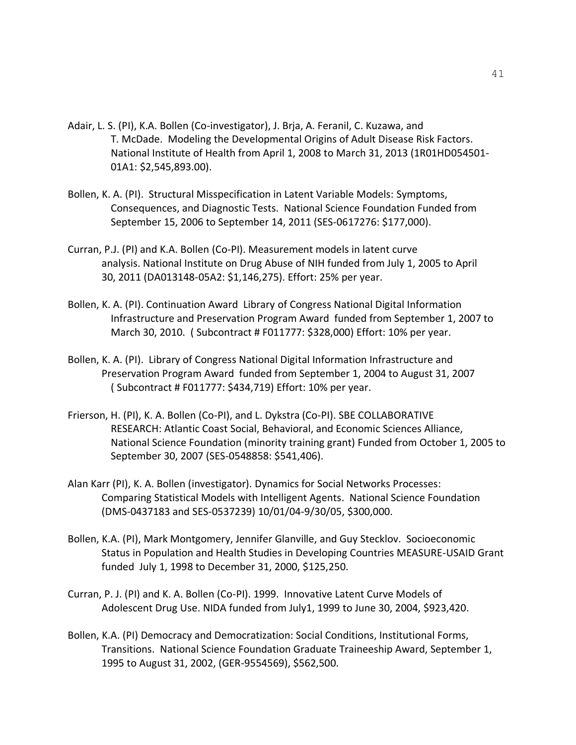- Adair, L. S. (PI), K.A. Bollen (Co-investigator), J. Brja, A. Feranil, C. Kuzawa, and T. McDade. Modeling the Developmental Origins of Adult Disease Risk Factors. National Institute of Health from April 1, 2008 to March 31, 2013 (1R01HD054501- 01A1: \$2,545,893.00).
- Bollen, K. A. (PI). Structural Misspecification in Latent Variable Models: Symptoms, Consequences, and Diagnostic Tests. National Science Foundation Funded from September 15, 2006 to September 14, 2011 (SES-0617276: \$177,000).
- Curran, P.J. (PI) and K.A. Bollen (Co-PI). Measurement models in latent curve analysis. National Institute on Drug Abuse of NIH funded from July 1, 2005 to April 30, 2011 (DA013148-05A2: \$1,146,275). Effort: 25% per year.
- Bollen, K. A. (PI). Continuation Award Library of Congress National Digital Information Infrastructure and Preservation Program Award funded from September 1, 2007 to March 30, 2010. ( Subcontract # F011777: \$328,000) Effort: 10% per year.
- Bollen, K. A. (PI). Library of Congress National Digital Information Infrastructure and Preservation Program Award funded from September 1, 2004 to August 31, 2007 ( Subcontract # F011777: \$434,719) Effort: 10% per year.
- Frierson, H. (PI), K. A. Bollen (Co-PI), and L. Dykstra (Co-PI). SBE COLLABORATIVE RESEARCH: Atlantic Coast Social, Behavioral, and Economic Sciences Alliance, National Science Foundation (minority training grant) Funded from October 1, 2005 to September 30, 2007 (SES-0548858: \$541,406).
- Alan Karr (PI), K. A. Bollen (investigator). Dynamics for Social Networks Processes: Comparing Statistical Models with Intelligent Agents. National Science Foundation (DMS-0437183 and SES-0537239) 10/01/04-9/30/05, \$300,000.
- Bollen, K.A. (PI), Mark Montgomery, Jennifer Glanville, and Guy Stecklov. Socioeconomic Status in Population and Health Studies in Developing Countries MEASURE-USAID Grant funded July 1, 1998 to December 31, 2000, \$125,250.
- Curran, P. J. (PI) and K. A. Bollen (Co-PI). 1999. Innovative Latent Curve Models of Adolescent Drug Use. NIDA funded from July1, 1999 to June 30, 2004, \$923,420.
- Bollen, K.A. (PI) Democracy and Democratization: Social Conditions, Institutional Forms, Transitions. National Science Foundation Graduate Traineeship Award, September 1, 1995 to August 31, 2002, (GER-9554569), \$562,500.